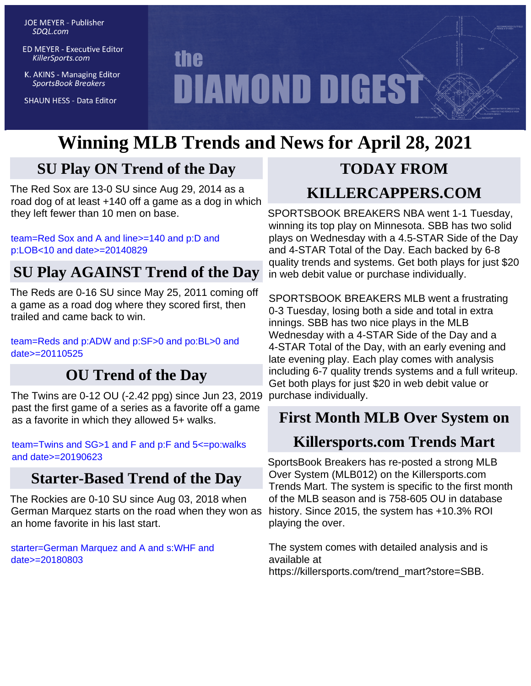**JOE MEYER - Publisher** SDQL.com

**ED MEYER - Executive Editor** KillerSports.com

K. AKINS - Managing Editor **SportsBook Breakers** 

**SHAUN HESS - Data Editor** 

# **the DIAMOND DIGEST**

# **Winning MLB Trends and News for April 28, 2021**

# **SU Play ON Trend of the Day**

The Red Sox are 13-0 SU since Aug 29, 2014 as a road dog of at least +140 off a game as a dog in which they left fewer than 10 men on base.

[team=Red Sox and A and line>=140 and p:D and](http://KillerSports.com/mlb/query?sdql=team%3DRed%20Sox%20and%20A%20and%20line%3E%3D140%20and%20p%3AD%20and%20p%3ALOB%3C10%20and%20date%3E%3D20140829) [p:LOB<10 and date>=20140829](http://KillerSports.com/mlb/query?sdql=team%3DRed%20Sox%20and%20A%20and%20line%3E%3D140%20and%20p%3AD%20and%20p%3ALOB%3C10%20and%20date%3E%3D20140829)

# **SU Play AGAINST Trend of the Day**

The Reds are 0-16 SU since May 25, 2011 coming off a game as a road dog where they scored first, then trailed and came back to win.

[team=Reds and p:ADW and p:SF>0 and po:BL>0 and](http://KillerSports.com/mlb/query?sdql=team%3DReds%20and%20p%3AADW%20and%20p%3ASF%3E0%20and%20po%3ABL%3E0%20and%20date%3E%3D20110525) [date>=20110525](http://KillerSports.com/mlb/query?sdql=team%3DReds%20and%20p%3AADW%20and%20p%3ASF%3E0%20and%20po%3ABL%3E0%20and%20date%3E%3D20110525)

# **OU Trend of the Day**

The Twins are 0-12 OU (-2.42 ppg) since Jun 23, 2019 past the first game of a series as a favorite off a game as a favorite in which they allowed 5+ walks.

[team=Twins and SG>1 and F and p:F and 5<=po:walks](http://KillerSports.com/mlb/query?sdql=team%3DTwins%20and%20SG%3E1%20and%20F%20and%20p%3AF%20and%205%3C%3Dpo%3Awalks%20and%20date%3E%3D20190623) [and date>=20190623](http://KillerSports.com/mlb/query?sdql=team%3DTwins%20and%20SG%3E1%20and%20F%20and%20p%3AF%20and%205%3C%3Dpo%3Awalks%20and%20date%3E%3D20190623)

# **Starter-Based Trend of the Day**

The Rockies are 0-10 SU since Aug 03, 2018 when German Marquez starts on the road when they won as an home favorite in his last start.

[starter=German Marquez and A and s:WHF and](http://KillerSports.com/mlb/query?sdql=starter%3DGerman%20Marquez%20and%20A%20and%20s%3AWHF%20and%20date%3E%3D20180803) [date>=20180803](http://KillerSports.com/mlb/query?sdql=starter%3DGerman%20Marquez%20and%20A%20and%20s%3AWHF%20and%20date%3E%3D20180803)

# **TODAY FROM**

# **KILLERCAPPERS.COM**

SPORTSBOOK BREAKERS NBA went 1-1 Tuesday, winning its top play on Minnesota. SBB has two solid plays on Wednesday with a 4.5-STAR Side of the Day and 4-STAR Total of the Day. Each backed by 6-8 quality trends and systems. Get both plays for just \$20 in web debit value or purchase individually.

SPORTSBOOK BREAKERS MLB went a frustrating 0-3 Tuesday, losing both a side and total in extra innings. SBB has two nice plays in the MLB Wednesday with a 4-STAR Side of the Day and a 4-STAR Total of the Day, with an early evening and late evening play. Each play comes with analysis including 6-7 quality trends systems and a full writeup. Get both plays for just \$20 in web debit value or purchase individually.

# **First Month MLB Over System on**

# **Killersports.com Trends Mart**

SportsBook Breakers has re-posted a strong MLB Over System (MLB012) on the Killersports.com Trends Mart. The system is specific to the first month of the MLB season and is 758-605 OU in database history. Since 2015, the system has +10.3% ROI playing the over.

The system comes with detailed analysis and is available at https://killersports.com/trend\_mart?store=SBB.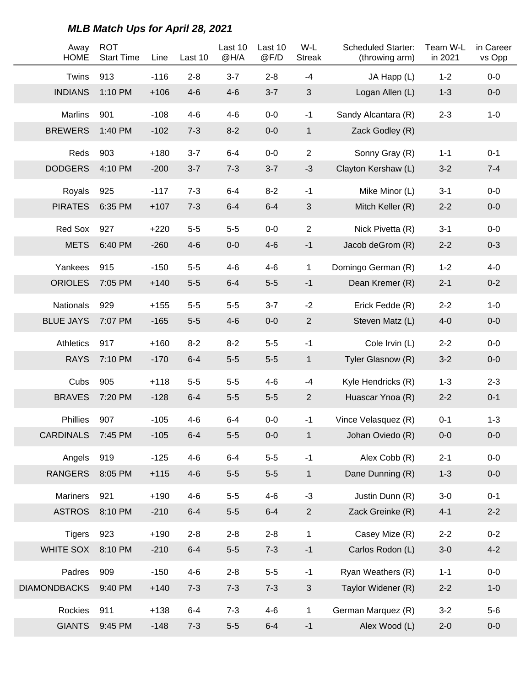| Away<br><b>HOME</b> | <b>ROT</b><br><b>Start Time</b> | Line   | Last 10 | Last 10<br>@H/A | Last 10<br>@F/D | W-L<br><b>Streak</b> | <b>Scheduled Starter:</b><br>(throwing arm) | Team W-L<br>in 2021 | in Career<br>vs Opp |
|---------------------|---------------------------------|--------|---------|-----------------|-----------------|----------------------|---------------------------------------------|---------------------|---------------------|
| Twins               | 913                             | $-116$ | $2 - 8$ | $3 - 7$         | $2 - 8$         | $-4$                 | JA Happ (L)                                 | $1 - 2$             | $0-0$               |
| <b>INDIANS</b>      | 1:10 PM                         | $+106$ | $4 - 6$ | $4 - 6$         | $3 - 7$         | 3                    | Logan Allen (L)                             | $1 - 3$             | $0-0$               |
| <b>Marlins</b>      | 901                             | $-108$ | $4 - 6$ | $4-6$           | $0-0$           | $-1$                 | Sandy Alcantara (R)                         | $2 - 3$             | $1-0$               |
| <b>BREWERS</b>      | 1:40 PM                         | $-102$ | $7 - 3$ | $8 - 2$         | $0-0$           | $\mathbf{1}$         | Zack Godley (R)                             |                     |                     |
| Reds                | 903                             | $+180$ | $3 - 7$ | $6 - 4$         | $0-0$           | $\overline{2}$       | Sonny Gray (R)                              | $1 - 1$             | $0 - 1$             |
| <b>DODGERS</b>      | 4:10 PM                         | $-200$ | $3 - 7$ | $7 - 3$         | $3 - 7$         | $-3$                 | Clayton Kershaw (L)                         | $3 - 2$             | $7 - 4$             |
| Royals              | 925                             | $-117$ | $7 - 3$ | $6 - 4$         | $8 - 2$         | $-1$                 | Mike Minor (L)                              | $3 - 1$             | $0-0$               |
| <b>PIRATES</b>      | 6:35 PM                         | $+107$ | $7 - 3$ | $6-4$           | $6-4$           | 3                    | Mitch Keller (R)                            | $2 - 2$             | $0-0$               |
| Red Sox             | 927                             | $+220$ | $5-5$   | $5-5$           | $0-0$           | $\overline{2}$       | Nick Pivetta (R)                            | $3 - 1$             | $0-0$               |
| <b>METS</b>         | 6:40 PM                         | $-260$ | $4 - 6$ | $0-0$           | $4 - 6$         | $-1$                 | Jacob deGrom (R)                            | $2 - 2$             | $0 - 3$             |
| Yankees             | 915                             | $-150$ | $5-5$   | $4 - 6$         | $4 - 6$         | 1                    | Domingo German (R)                          | $1 - 2$             | $4-0$               |
| <b>ORIOLES</b>      | 7:05 PM                         | $+140$ | $5-5$   | $6-4$           | $5-5$           | $-1$                 | Dean Kremer (R)                             | $2 - 1$             | $0 - 2$             |
| <b>Nationals</b>    | 929                             | $+155$ | $5-5$   | $5-5$           | $3 - 7$         | $-2$                 | Erick Fedde (R)                             | $2 - 2$             | $1 - 0$             |
| <b>BLUE JAYS</b>    | 7:07 PM                         | $-165$ | $5-5$   | $4 - 6$         | $0-0$           | $\overline{2}$       | Steven Matz (L)                             | $4 - 0$             | $0-0$               |
| Athletics           | 917                             | $+160$ | $8 - 2$ | $8 - 2$         | $5-5$           | $-1$                 | Cole Irvin (L)                              | $2 - 2$             | $0-0$               |
| <b>RAYS</b>         | 7:10 PM                         | $-170$ | $6 - 4$ | $5-5$           | $5-5$           | $\mathbf{1}$         | Tyler Glasnow (R)                           | $3 - 2$             | $0-0$               |
| Cubs                | 905                             | $+118$ | $5-5$   | $5-5$           | $4 - 6$         | $-4$                 | Kyle Hendricks (R)                          | $1 - 3$             | $2 - 3$             |
| <b>BRAVES</b>       | 7:20 PM                         | $-128$ | $6-4$   | $5-5$           | $5-5$           | $\overline{2}$       | Huascar Ynoa (R)                            | $2 - 2$             | $0 - 1$             |
| Phillies            | 907                             | $-105$ | $4 - 6$ | $6-4$           | $0-0$           | $-1$                 | Vince Velasquez (R)                         | $0 - 1$             | $1 - 3$             |
| <b>CARDINALS</b>    | 7:45 PM                         | $-105$ | $6 - 4$ | $5-5$           | $0-0$           | $\mathbf{1}$         | Johan Oviedo (R)                            | $0-0$               | $0-0$               |
| Angels              | 919                             | $-125$ | $4 - 6$ | $6-4$           | $5-5$           | $-1$                 | Alex Cobb (R)                               | $2 - 1$             | $0-0$               |
| <b>RANGERS</b>      | 8:05 PM                         | $+115$ | $4-6$   | $5-5$           | $5-5$           | $\mathbf{1}$         | Dane Dunning (R)                            | $1 - 3$             | $0-0$               |
| Mariners            | 921                             | $+190$ | $4-6$   | $5-5$           | $4 - 6$         | $-3$                 | Justin Dunn (R)                             | $3-0$               | $0 - 1$             |
| <b>ASTROS</b>       | 8:10 PM                         | $-210$ | $6-4$   | $5-5$           | $6-4$           | $\overline{c}$       | Zack Greinke (R)                            | $4 - 1$             | $2 - 2$             |
| <b>Tigers</b>       | 923                             | $+190$ | $2 - 8$ | $2 - 8$         | $2 - 8$         | 1                    | Casey Mize (R)                              | $2 - 2$             | $0 - 2$             |
| WHITE SOX           | 8:10 PM                         | $-210$ | $6-4$   | $5-5$           | $7 - 3$         | $-1$                 | Carlos Rodon (L)                            | $3-0$               | $4 - 2$             |
| Padres              | 909                             | $-150$ | $4 - 6$ | $2 - 8$         | $5-5$           | $-1$                 | Ryan Weathers (R)                           | $1 - 1$             | $0-0$               |
| <b>DIAMONDBACKS</b> | 9:40 PM                         | $+140$ | $7 - 3$ | $7 - 3$         | $7 - 3$         | $\mathfrak{S}$       | Taylor Widener (R)                          | $2 - 2$             | $1-0$               |
| Rockies             | 911                             | $+138$ | $6-4$   | $7 - 3$         | $4 - 6$         | 1                    | German Marquez (R)                          | $3 - 2$             | $5-6$               |
| <b>GIANTS</b>       | 9:45 PM                         | $-148$ | $7 - 3$ | $5-5$           | $6-4$           | $-1$                 | Alex Wood (L)                               | $2 - 0$             | $0-0$               |

**MLB Match Ups for April 28, 2021**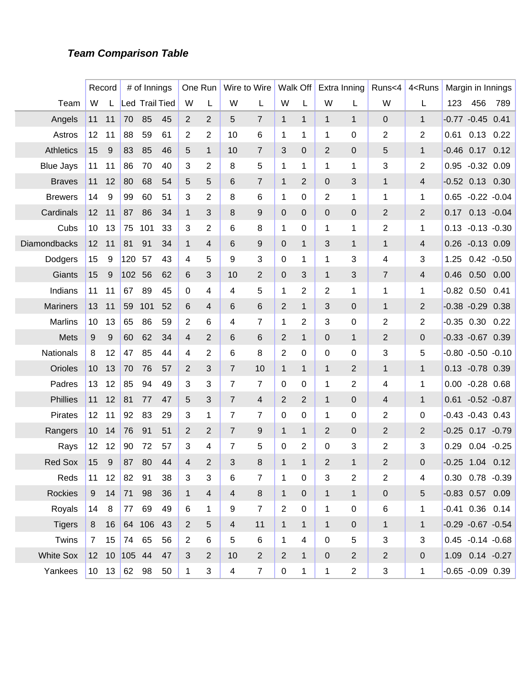# **Team Comparison Table**

|                  |              | Record |        | # of Innings   |    |                | One Run        |                | Wire to Wire   |                | Walk Off       |                | Extra Inning   | Runs<4         | 4 <runs< th=""><th></th><th>Margin in Innings</th><th></th></runs<> |         | Margin in Innings     |      |
|------------------|--------------|--------|--------|----------------|----|----------------|----------------|----------------|----------------|----------------|----------------|----------------|----------------|----------------|---------------------------------------------------------------------|---------|-----------------------|------|
| Team             | W            |        |        | Led Trail Tied |    | W              | L              | W              | L              | W              | L              | W              | L              | W              | L                                                                   | 123     | 456                   | 789  |
| Angels           | 11           | 11     | 70     | 85             | 45 | 2              | 2              | 5              | $\overline{7}$ | $\mathbf 1$    | $\mathbf{1}$   | $\mathbf{1}$   | $\mathbf{1}$   | 0              | $\mathbf{1}$                                                        |         | $-0.77 - 0.45$        | 0.41 |
| Astros           | 12           | 11     | 88     | 59             | 61 | 2              | 2              | 10             | 6              | 1              | 1              | 1              | 0              | $\overline{2}$ | 2                                                                   | 0.61    | 0.13                  | 0.22 |
| <b>Athletics</b> | 15           | 9      | 83     | 85             | 46 | 5              | $\mathbf{1}$   | 10             | 7              | 3              | 0              | 2              | 0              | 5              | $\mathbf{1}$                                                        |         | $-0.46$ 0.17          | 0.12 |
| <b>Blue Jays</b> | 11           | 11     | 86     | 70             | 40 | 3              | 2              | 8              | 5              | 1              | 1              | 1              | 1              | 3              | 2                                                                   | 0.95    | $-0.32$               | 0.09 |
| <b>Braves</b>    | 11           | 12     | 80     | 68             | 54 | 5              | 5              | 6              | 7              | $\mathbf 1$    | 2              | 0              | 3              | $\mathbf{1}$   | 4                                                                   |         | $-0.52$ 0.13          | 0.30 |
| <b>Brewers</b>   | 14           | 9      | 99     | 60             | 51 | 3              | 2              | 8              | 6              | 1              | 0              | 2              | 1              | 1              | 1                                                                   |         | $0.65 -0.22 -0.04$    |      |
| Cardinals        | 12           | 11     | 87     | 86             | 34 | 1              | 3              | 8              | 9              | 0              | 0              | $\Omega$       | 0              | $\overline{2}$ | 2                                                                   |         | $0.17$ $0.13$ $-0.04$ |      |
| Cubs             | 10           | 13     | 75     | 101            | 33 | 3              | 2              | 6              | 8              | 1              | 0              | 1              | 1              | 2              | 1                                                                   |         | $0.13 - 0.13 - 0.30$  |      |
| Diamondbacks     | 12           | 11     | 81     | 91             | 34 | 1              | 4              | 6              | 9              | 0              | $\mathbf{1}$   | 3              | 1              | $\mathbf{1}$   | 4                                                                   | 0.26    | $-0.13$ 0.09          |      |
| Dodgers          | 15           | 9      | 120    | 57             | 43 | 4              | 5              | 9              | 3              | 0              | 1              | 1              | 3              | 4              | 3                                                                   | 1.25    | $0.42 - 0.50$         |      |
| Giants           | 15           | 9      | 102    | 56             | 62 | 6              | 3              | 10             | 2              | 0              | 3              | $\mathbf{1}$   | 3              | $\overline{7}$ | 4                                                                   | 0.46    | 0.50                  | 0.00 |
| Indians          | 11           | 11     | 67     | 89             | 45 | 0              | 4              | 4              | 5              | 1              | 2              | 2              | 1              | 1              | 1                                                                   |         | $-0.82$ 0.50          | 0.41 |
| <b>Mariners</b>  | 13           | 11     | 59     | 101            | 52 | 6              | 4              | 6              | 6              | $\overline{2}$ | $\mathbf{1}$   | 3              | 0              | $\mathbf{1}$   | 2                                                                   |         | $-0.38 - 0.29$        | 0.38 |
| <b>Marlins</b>   | 10           | 13     | 65     | 86             | 59 | $\overline{2}$ | 6              | 4              | 7              | 1              | 2              | 3              | 0              | 2              | 2                                                                   |         | $-0.35$ 0.30          | 0.22 |
| Mets             | 9            | 9      | 60     | 62             | 34 | 4              | 2              | 6              | 6              | $\overline{2}$ | $\mathbf 1$    | 0              | $\mathbf{1}$   | $\overline{2}$ | 0                                                                   |         | $-0.33 - 0.67$ 0.39   |      |
| <b>Nationals</b> | 8            | 12     | 47     | 85             | 44 | 4              | 2              | 6              | 8              | 2              | 0              | 0              | 0              | 3              | 5                                                                   |         | $-0.80 -0.50 -0.10$   |      |
| Orioles          | 10           | 13     | 70     | 76             | 57 | 2              | 3              | $\overline{7}$ | 10             | $\mathbf{1}$   | $\mathbf{1}$   | $\mathbf{1}$   | 2              | $\mathbf{1}$   | $\mathbf{1}$                                                        |         | 0.13 -0.78 0.39       |      |
| Padres           | 13           | 12     | 85     | 94             | 49 | 3              | 3              | 7              | 7              | 0              | 0              | 1              | 2              | 4              | 1                                                                   |         | $0.00 -0.28 0.68$     |      |
| <b>Phillies</b>  | 11           | 12     | 81     | 77             | 47 | 5              | 3              | 7              | $\overline{4}$ | $\overline{2}$ | 2              | $\mathbf{1}$   | 0              | 4              | $\mathbf{1}$                                                        | 0.61    | $-0.52 -0.87$         |      |
| <b>Pirates</b>   | 12           | 11     | 92     | 83             | 29 | 3              | 1              | 7              | 7              | 0              | 0              | 1              | 0              | $\overline{2}$ | 0                                                                   |         | $-0.43 -0.43$ 0.43    |      |
| Rangers          | 10           | 14     | 76     | 91             | 51 | $\overline{2}$ | 2              | 7              | 9              | $\mathbf{1}$   | $\mathbf{1}$   | 2              | 0              | 2              | 2                                                                   |         | $-0.25$ 0.17 $-0.79$  |      |
| Rays             | 12           | 12     | 90     | 72             | 57 | 3              | 4              | 7              | 5              | 0              | 2              | 0              | 3              | $\overline{2}$ | 3                                                                   | 0.29    | $0.04 - 0.25$         |      |
| <b>Red Sox</b>   | 15           | 9      | 87     | 80             | 44 | 4              | 2              | 3              | 8              | $\mathbf{1}$   | 1              | 2              | $\mathbf{1}$   | 2              | $\overline{0}$                                                      | $-0.25$ | 1.04                  | 0.12 |
| Reds             | 11           | 12     | 82     | 91             | 38 | 3              | 3              | 6              | $\overline{7}$ | 1              | $\mathsf 0$    | 3              | 2              | $\sqrt{2}$     | 4                                                                   |         | 0.30 0.78 -0.39       |      |
| Rockies          | $9^{\circ}$  | 14     | 71     | 98             | 36 | 1              | $\overline{4}$ | $\overline{4}$ | 8              | $\mathbf{1}$   | $\mathbf 0$    | $\mathbf{1}$   | 1              | $\pmb{0}$      | 5                                                                   |         | $-0.83$ 0.57 0.09     |      |
| Royals           | 14           | 8      | 77     | 69             | 49 | 6              | $\mathbf 1$    | 9              | $\overline{7}$ | $\overline{2}$ | $\mathbf 0$    | $\mathbf 1$    | $\mathbf 0$    | 6              | 1                                                                   |         | $-0.41$ $0.36$ $0.14$ |      |
| <b>Tigers</b>    | 8            | 16     |        | 64 106         | 43 | $\overline{2}$ | $\sqrt{5}$     | $\overline{4}$ | 11             | $\mathbf{1}$   | $\mathbf{1}$   | $\mathbf{1}$   | $\pmb{0}$      | $\mathbf 1$    | $\mathbf{1}$                                                        |         | $-0.29 - 0.67 - 0.54$ |      |
| Twins            | $\mathbf{7}$ | 15     | 74     | 65             | 56 | $\overline{2}$ | 6              | 5              | 6              | $\mathbf{1}$   | $\overline{4}$ | $\mathbf 0$    | 5              | 3              | 3                                                                   |         | $0.45 -0.14 -0.68$    |      |
| <b>White Sox</b> |              | 12 10  | 105 44 |                | 47 | $\mathfrak{S}$ | $\overline{2}$ | 10             | $\overline{2}$ | $\overline{2}$ | $\mathbf{1}$   | $\overline{0}$ | $\mathbf{2}$   | $\overline{c}$ | 0                                                                   |         | 1.09  0.14  -0.27     |      |
| Yankees          |              | 10 13  |        | 62 98          | 50 | $\mathbf{1}$   | 3              | $\overline{4}$ | $\overline{7}$ | $\pmb{0}$      | 1              | $\mathbf{1}$   | $\overline{2}$ | 3              | 1                                                                   |         | $-0.65 - 0.09$ 0.39   |      |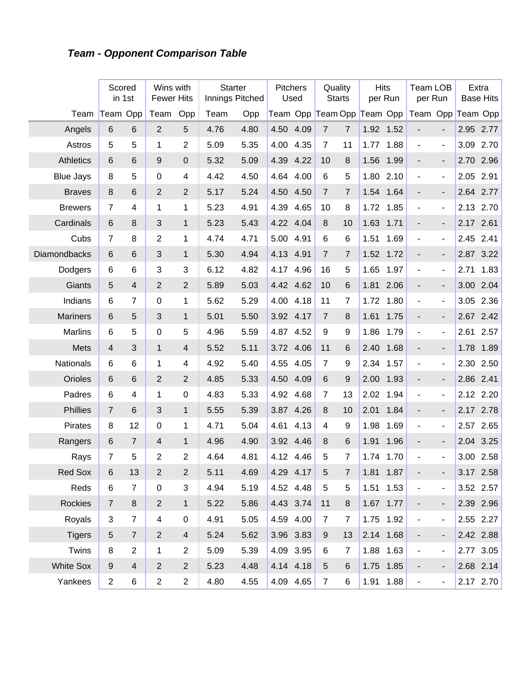# **Team - Opponent Comparison Table**

|                     | Scored          | in 1st         | Wins with<br><b>Fewer Hits</b> |                | <b>Starter</b><br>Innings Pitched |      | <b>Pitchers</b> | Used      | Quality          | <b>Starts</b>  | <b>Hits</b>                | per Run   | <b>Team LOB</b><br>per Run |                              |      | Extra<br><b>Base Hits</b> |
|---------------------|-----------------|----------------|--------------------------------|----------------|-----------------------------------|------|-----------------|-----------|------------------|----------------|----------------------------|-----------|----------------------------|------------------------------|------|---------------------------|
| Team                | Team Opp        |                | Team                           | Opp            | Team                              | Opp  |                 |           |                  |                | Team Opp Team Opp Team Opp |           | Team Opp Team Opp          |                              |      |                           |
| Angels              | 6               | 6              | $\overline{2}$                 | 5              | 4.76                              | 4.80 | 4.50            | 4.09      | $\overline{7}$   | $\overline{7}$ |                            | 1.92 1.52 |                            |                              |      | 2.95 2.77                 |
| Astros              | 5               | 5              | 1                              | $\overline{2}$ | 5.09                              | 5.35 | 4.00            | 4.35      | $\overline{7}$   | 11             | 1.77                       | 1.88      | $\overline{\phantom{a}}$   | $\blacksquare$               | 3.09 | 2.70                      |
| <b>Athletics</b>    | $6\phantom{1}6$ | $6\phantom{1}$ | 9                              | 0              | 5.32                              | 5.09 | 4.39            | 4.22      | 10               | 8              | 1.56                       | 1.99      |                            | $\overline{\phantom{a}}$     | 2.70 | 2.96                      |
| <b>Blue Jays</b>    | 8               | 5              | $\mathbf 0$                    | 4              | 4.42                              | 4.50 | 4.64            | 4.00      | 6                | 5              | 1.80                       | 2.10      | $\blacksquare$             | $\overline{\phantom{m}}$     | 2.05 | 2.91                      |
| <b>Braves</b>       | 8               | $6\phantom{1}$ | $\overline{2}$                 | $\overline{2}$ | 5.17                              | 5.24 | 4.50            | 4.50      | $\overline{7}$   | $\overline{7}$ | 1.54                       | 1.64      |                            | $\overline{\phantom{a}}$     |      | 2.64 2.77                 |
| <b>Brewers</b>      | $\overline{7}$  | 4              | 1                              | 1              | 5.23                              | 4.91 | 4.39            | 4.65      | 10               | 8              | 1.72                       | 1.85      | $\blacksquare$             | $\qquad \qquad \blacksquare$ | 2.13 | 2.70                      |
| Cardinals           | 6               | 8              | 3                              | 1              | 5.23                              | 5.43 | 4.22            | 4.04      | $\,8\,$          | 10             | 1.63                       | 1.71      |                            | $\overline{\phantom{a}}$     | 2.17 | 2.61                      |
| Cubs                | $\overline{7}$  | 8              | $\overline{2}$                 | 1              | 4.74                              | 4.71 | 5.00            | 4.91      | 6                | 6              | 1.51                       | 1.69      | $\blacksquare$             | ä,                           | 2.45 | 2.41                      |
| <b>Diamondbacks</b> | 6               | $6\phantom{1}$ | 3                              | 1              | 5.30                              | 4.94 | 4.13            | 4.91      | $\overline{7}$   | $\overline{7}$ | 1.52                       | 1.72      |                            | $\overline{\phantom{a}}$     | 2.87 | 3.22                      |
| Dodgers             | 6               | 6              | 3                              | 3              | 6.12                              | 4.82 | 4.17            | 4.96      | 16               | 5              | 1.65                       | 1.97      | $\overline{\phantom{a}}$   | $\blacksquare$               | 2.71 | 1.83                      |
| Giants              | 5               | $\overline{4}$ | $\overline{2}$                 | $\overline{2}$ | 5.89                              | 5.03 | 4.42            | 4.62      | 10               | 6              | 1.81                       | 2.06      | $\overline{\phantom{a}}$   | $\overline{\phantom{a}}$     | 3.00 | 2.04                      |
| Indians             | 6               | 7              | $\mathbf 0$                    | 1              | 5.62                              | 5.29 | 4.00            | 4.18      | 11               | 7              | 1.72                       | 1.80      | $\overline{\phantom{a}}$   | $\overline{\phantom{m}}$     | 3.05 | 2.36                      |
| <b>Mariners</b>     | 6               | $\overline{5}$ | 3                              | 1              | 5.01                              | 5.50 | 3.92            | 4.17      | $\overline{7}$   | 8              | 1.61                       | 1.75      |                            | $\overline{\phantom{a}}$     | 2.67 | 2.42                      |
| <b>Marlins</b>      | 6               | 5              | $\mathbf 0$                    | 5              | 4.96                              | 5.59 | 4.87            | 4.52      | 9                | 9              | 1.86                       | 1.79      | $\blacksquare$             | $\blacksquare$               | 2.61 | 2.57                      |
| Mets                | $\overline{4}$  | 3              | $\mathbf{1}$                   | 4              | 5.52                              | 5.11 | 3.72            | 4.06      | 11               | 6              | 2.40                       | 1.68      | $\overline{\phantom{m}}$   | $\overline{\phantom{a}}$     | 1.78 | 1.89                      |
| Nationals           | 6               | 6              | 1                              | 4              | 4.92                              | 5.40 | 4.55            | 4.05      | 7                | 9              | 2.34                       | 1.57      | $\overline{\phantom{a}}$   | $\blacksquare$               | 2.30 | 2.50                      |
| Orioles             | $6\phantom{1}6$ | $6\phantom{1}$ | $\overline{2}$                 | $\overline{2}$ | 4.85                              | 5.33 | 4.50            | 4.09      | $6\phantom{1}$   | 9              | 2.00                       | 1.93      | $\overline{\phantom{m}}$   | $\overline{\phantom{a}}$     | 2.86 | 2.41                      |
| Padres              | 6               | 4              | 1                              | $\pmb{0}$      | 4.83                              | 5.33 | 4.92            | 4.68      | 7                | 13             | 2.02                       | 1.94      | $\overline{\phantom{a}}$   | $\blacksquare$               | 2.12 | 2.20                      |
| Phillies            | $\overline{7}$  | 6              | 3                              | $\mathbf{1}$   | 5.55                              | 5.39 | 3.87            | 4.26      | $\,8\,$          | 10             | 2.01                       | 1.84      | $\overline{\phantom{a}}$   | $\overline{\phantom{a}}$     | 2.17 | 2.78                      |
| Pirates             | 8               | 12             | $\mathbf 0$                    | 1              | 4.71                              | 5.04 | 4.61            | 4.13      | 4                | 9              | 1.98                       | 1.69      | $\overline{\phantom{a}}$   | $\blacksquare$               | 2.57 | 2.65                      |
| Rangers             | 6               | $\overline{7}$ | 4                              | $\mathbf{1}$   | 4.96                              | 4.90 | 3.92            | 4.46      | 8                | 6              | 1.91                       | 1.96      | $\overline{\phantom{a}}$   | $\overline{\phantom{a}}$     | 2.04 | 3.25                      |
| Rays                | $\overline{7}$  | 5              | $\overline{2}$                 | $\overline{2}$ | 4.64                              | 4.81 | 4.12            | 4.46      | 5                | $\overline{7}$ | 1.74                       | 1.70      | $\overline{\phantom{a}}$   | $\blacksquare$               | 3.00 | 2.58                      |
| Red Sox             | 6               | 13             | $\overline{c}$                 | $\overline{c}$ | 5.11                              | 4.69 |                 | 4.29 4.17 | 5                | 7              |                            | 1.81 1.87 |                            |                              |      | 3.17 2.58                 |
| Reds                | $\,6$           | $\overline{7}$ | $\pmb{0}$                      | 3              | 4.94                              | 5.19 |                 | 4.52 4.48 | 5                | 5              | 1.51                       | 1.53      | $\blacksquare$             | $\overline{\phantom{a}}$     |      | 3.52 2.57                 |
| Rockies             | $\overline{7}$  | $\bf 8$        | $\overline{2}$                 | 1              | 5.22                              | 5.86 | 4.43 3.74       |           | 11               | 8              |                            | 1.67 1.77 | $\overline{\phantom{a}}$   | $\overline{\phantom{a}}$     |      | 2.39 2.96                 |
| Royals              | $\mathfrak{S}$  | $\overline{7}$ | 4                              | $\mathbf 0$    | 4.91                              | 5.05 | 4.59 4.00       |           | $\overline{7}$   | $\overline{7}$ |                            | 1.75 1.92 | $\blacksquare$             | $\blacksquare$               |      | $2.55$ 2.27               |
| <b>Tigers</b>       | $\sqrt{5}$      | $\overline{7}$ | $\overline{2}$                 | $\overline{4}$ | 5.24                              | 5.62 |                 | 3.96 3.83 | $\boldsymbol{9}$ | 13             |                            | 2.14 1.68 | ٠                          | $\overline{\phantom{a}}$     |      | 2.42 2.88                 |
| Twins               | $\, 8$          | $\overline{2}$ | 1                              | $\overline{2}$ | 5.09                              | 5.39 |                 | 4.09 3.95 | 6                | $\overline{7}$ |                            | 1.88 1.63 | $\overline{\phantom{a}}$   | $\overline{\phantom{m}}$     |      | 2.77 3.05                 |
| <b>White Sox</b>    | $9\,$           | $\overline{4}$ | $\overline{2}$                 | $\mathbf{2}$   | 5.23                              | 4.48 |                 | 4.14 4.18 | $\overline{5}$   | 6              |                            | 1.75 1.85 | ۰                          |                              |      | 2.68 2.14                 |
| Yankees             | $\overline{2}$  | 6              | $\overline{c}$                 | $\overline{2}$ | 4.80                              | 4.55 |                 | 4.09 4.65 | $\overline{7}$   | 6              |                            | 1.91 1.88 | $\blacksquare$             | $\overline{\phantom{a}}$     |      | 2.17 2.70                 |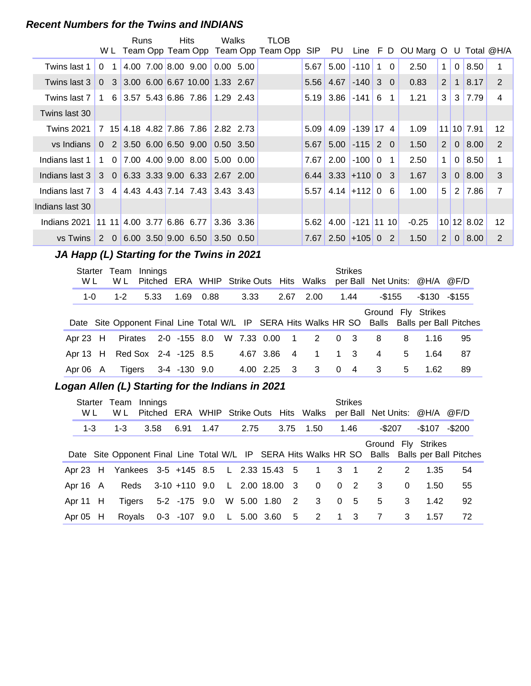#### **Recent Numbers for the Twins and INDIANS**

|                                                                                            |                                     | Runs |  | <b>Hits</b>                          | Walks              | TLOB                                                                          |      |                           |              |              |          |         |                |                |               |                 |
|--------------------------------------------------------------------------------------------|-------------------------------------|------|--|--------------------------------------|--------------------|-------------------------------------------------------------------------------|------|---------------------------|--------------|--------------|----------|---------|----------------|----------------|---------------|-----------------|
|                                                                                            |                                     |      |  |                                      |                    | WL Team Opp Team Opp Team Opp Team Opp SIP PU Line F D OU Marg O U Total @H/A |      |                           |              |              |          |         |                |                |               |                 |
| Twins last 1                                                                               | 0 <sub>1</sub>                      |      |  | 4.00 7.00 8.00 9.00                  | $0.00\ 5.00$       |                                                                               | 5.67 | 5.00                      | $-110$       | $\mathbf{1}$ | $\Omega$ | 2.50    | 1 <sup>1</sup> | 0              | 8.50          | 1               |
| Twins last 3                                                                               |                                     |      |  | $0$ 3 3.00 6.00 6.67 10.00 1.33 2.67 |                    |                                                                               | 5.56 | 4.67                      | $-140$ 3 0   |              |          | 0.83    | 2 <sup>1</sup> | 1 <sup>1</sup> | 8.17          | 2               |
| Twins last 7   1                                                                           |                                     |      |  | 6 3.57 5.43 6.86 7.86 1.29 2.43      |                    |                                                                               |      | $5.19$ 3.86               | $-141$ 6 1   |              |          | 1.21    | 3 <sup>1</sup> |                | $3 \mid 7.79$ | 4               |
| Twins last 30                                                                              |                                     |      |  |                                      |                    |                                                                               |      |                           |              |              |          |         |                |                |               |                 |
| Twins 2021                                                                                 |                                     |      |  | 7 15 4.18 4.82 7.86 7.86 2.82 2.73   |                    |                                                                               | 5.09 | 4.09                      | $-139$ 17 4  |              |          | 1.09    |                |                | 11 10 7.91    | 12 <sup>2</sup> |
| vs Indians 0 2 3.50 6.00 6.50 9.00 0.50 3.50                                               |                                     |      |  |                                      |                    |                                                                               |      | $5.67$ $5.00$ $-115$ 2 0  |              |              |          | 1.50    | 2 <sup>1</sup> |                | 0   8.00      | 2               |
| Indians last 1                                                                             | $1 \t0 \t7.00 \t4.00 \t9.00 \t8.00$ |      |  |                                      | $15.00 \quad 0.00$ |                                                                               | 7.67 | 2.00                      | $-100$ 0 1   |              |          | 2.50    | 1 <sup>1</sup> | 0 <sup>1</sup> | 8.50          | $\mathbf 1$     |
| Indians last $3 \mid 3 \mid 0 \mid 6.33 \mid 3.33 \mid 9.00 \mid 6.33 \mid 2.67 \mid 2.00$ |                                     |      |  |                                      |                    |                                                                               |      | $6.44$ 3.33 + 110 0 3     |              |              |          | 1.67    | 3 <sup>1</sup> | 0 <sup>1</sup> | 8.00          | 3               |
| Indians last $7 \mid 3 \mid 4 \mid 4.43 \mid 4.43 \mid 7.14 \mid 7.43 \mid 3.43 \mid 3.43$ |                                     |      |  |                                      |                    |                                                                               |      | $5.57$   4.14 + 112   0 6 |              |              |          | 1.00    | 5 <sup>1</sup> |                | 2 7.86        | $\overline{7}$  |
| Indians last 30                                                                            |                                     |      |  |                                      |                    |                                                                               |      |                           |              |              |          |         |                |                |               |                 |
| Indians 2021                                                                               | $111114.00$ 3.77 6.86 6.77          |      |  |                                      | 3.36 3.36          |                                                                               | 5.62 | 4.00                      | $-121$ 11 10 |              |          | $-0.25$ |                |                | 10 12 8.02    | 12 <sup>2</sup> |
| vs Twins 2 0 6.00 3.50 9.00 6.50 3.50 0.50                                                 |                                     |      |  |                                      |                    |                                                                               |      | $7.67$ 2.50 + 105 0 2     |              |              |          | 1.50    | 2 <sup>1</sup> |                | 0   8.00      | 2               |

# JA Happ (L) Starting for the Twins in 2021

| Starter<br>W L | Team<br>W L          | Innings |              |                                  |      |           |                         | Pitched ERA WHIP Strike Outs Hits Walks | <b>Strikes</b>             |                         |   | per Ball Net Units: @H/A @F/D |                                                                                               |
|----------------|----------------------|---------|--------------|----------------------------------|------|-----------|-------------------------|-----------------------------------------|----------------------------|-------------------------|---|-------------------------------|-----------------------------------------------------------------------------------------------|
| $1 - 0$        | $1 - 2$              | 5.33    | 1.69         | 0.88                             | 3.33 |           | 2.67                    | 2.00                                    | 1.44                       | -\$155                  |   | $-$130 - $155$                |                                                                                               |
|                |                      |         |              |                                  |      |           |                         |                                         |                            |                         |   | Ground Fly Strikes            | Date Site Opponent Final Line Total W/L IP SERA Hits Walks HR SO Balls Balls per Ball Pitches |
| Apr $23$ H     |                      |         |              | Pirates 2-0 -155 8.0 W 7.33 0.00 |      |           | $\overline{1}$          |                                         | 2 0 3                      | 8                       | 8 | 1.16                          | 95                                                                                            |
| Apr 13 H       | Red Sox 2-4 -125 8.5 |         |              |                                  |      | 4.67 3.86 | $\overline{4}$          | $\overline{1}$                          | $1 \quad 3$                | 4                       | 5 | 1.64                          | 87                                                                                            |
| Apr $06$ A     | Tigers               |         | 3-4 -130 9.0 |                                  |      | 4.00 2.25 | $\overline{\mathbf{3}}$ | $\mathbf{3}$                            | $\Omega$<br>$\overline{4}$ | $\overline{\mathbf{3}}$ | 5 | 1.62                          | 89                                                                                            |

# **..........Logan Allen (L) Starting for the Indians in 2021**

| W L        | Starter Team Innings<br>W L |      |                                   |      |               |  | Pitched ERA WHIP Strike Outs Hits Walks            | <b>Strikes</b> | per Ball Net Units: @H/A @F/D |          |               |                                                                                               |
|------------|-----------------------------|------|-----------------------------------|------|---------------|--|----------------------------------------------------|----------------|-------------------------------|----------|---------------|-----------------------------------------------------------------------------------------------|
| $1-3$      | 1-3                         | 3.58 | 6.91                              | 1.47 | 2.75          |  | 3.75 1.50                                          | 1.46           | -\$207                        |          | -\$107 -\$200 |                                                                                               |
|            |                             |      |                                   |      |               |  |                                                    |                | Ground Fly Strikes            |          |               | Date Site Opponent Final Line Total W/L IP SERA Hits Walks HR SO Balls Balls per Ball Pitches |
|            |                             |      |                                   |      |               |  | Apr 23 H Yankees 3-5 +145 8.5 L 2.33 15.43 5 1 3 1 |                | 2                             | 2        | 1.35          | 54                                                                                            |
| Apr 16 A   |                             |      | Reds 3-10 +110 9.0 L 2.00 18.00 3 |      |               |  | $\overline{\mathbf{0}}$                            | $0\quad 2$     | 3                             | $\Omega$ | 1.50          | 55                                                                                            |
| Apr 11 H   | Tigers                      |      | 5-2 -175 9.0                      |      | W 5.00 1.80 2 |  | $\overline{\mathbf{3}}$                            | 0 <sub>5</sub> | 5                             | 3        | 1.42          | 92                                                                                            |
| Apr $05$ H | Rovals                      |      |                                   |      |               |  | 0-3 -107 9.0 L 5.00 3.60 5 2 1 3                   |                | 7                             | 3        | 1.57          | 72                                                                                            |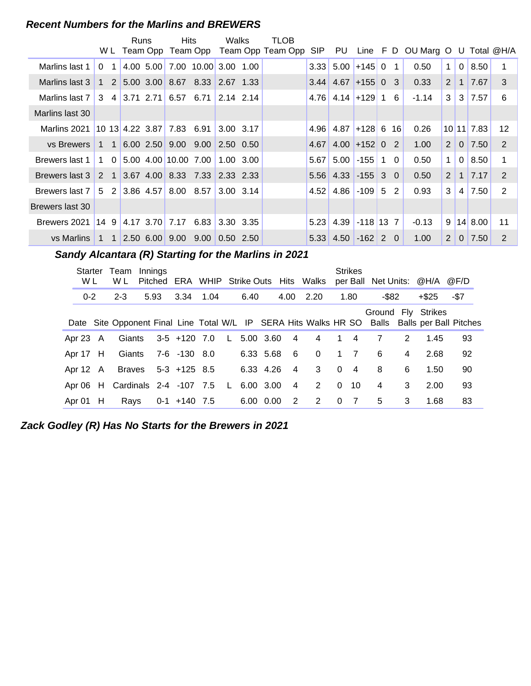#### **Recent Numbers for the Marlins and BREWERS**

|                 |             |   | Runs |              | Hits                                                                   |      | Walks                         | TLOB                       |            |                              |                   |              |                |                                     |                       |                |            |                 |
|-----------------|-------------|---|------|--------------|------------------------------------------------------------------------|------|-------------------------------|----------------------------|------------|------------------------------|-------------------|--------------|----------------|-------------------------------------|-----------------------|----------------|------------|-----------------|
|                 |             |   |      | W L Team Opp |                                                                        |      |                               | Team Opp Team Opp Team Opp | <b>SIP</b> | PU                           |                   |              |                | Line $F D$ OU Marg O U Total $@H/A$ |                       |                |            |                 |
| Marlins last 1  | $\Omega$    | 1 |      |              | 4.00 5.00 7.00 10.00 3.00 1.00                                         |      |                               |                            | 3.33       |                              | $5.00$ +145 0     |              | $\mathbf{1}$   | 0.50                                | 1                     | $\Omega$       | 8.50       | 1               |
| Marlins last 3  |             |   |      |              | $1\quad 2 \mid 5.00 \mid 3.00 \mid 8.67 \mid 8.33 \mid 2.67 \mid 1.33$ |      |                               |                            |            | $3.44$ 4.67 + 155 0          |                   |              | 3              | 0.33                                | $\overline{2}$        | $\mathbf{1}$   | 7.67       | 3               |
| Marlins last 7  |             |   |      |              | $3 \quad 4 \quad 3.71 \quad 2.71 \quad 6.57 \quad 6.71$                |      | $\vert 2.14 \vert 2.14 \vert$ |                            |            | $4.76$   $4.14$   $+129$   1 |                   |              | 6              | $-1.14$                             | 3                     | 3              | 7.57       | 6               |
| Marlins last 30 |             |   |      |              |                                                                        |      |                               |                            |            |                              |                   |              |                |                                     |                       |                |            |                 |
| Marlins 2021    |             |   |      |              | $10$ 13 4.22 3.87 7.83 6.91                                            |      | 3.00 3.17                     |                            | 4.96       | 4.87                         | $ +128 6$ 16      |              |                | 0.26                                |                       |                | 10 11 7.83 | 12 <sup>2</sup> |
| vs Brewers      |             |   |      |              | 1 1 6.00 2.50 9.00 9.00                                                |      | 2.50 0.50                     |                            | 4.67       |                              | $4.00$ +152 0     |              | 2              | 1.00                                | $\mathbf{2}^{\prime}$ | $\overline{0}$ | 7.50       | 2               |
| Brewers last 1  | 1           |   |      |              | $0$ 5.00 4.00 10.00 7.00                                               |      | 1.00 3.00                     |                            | 5.67       |                              | $5.00$ -155       | $\mathbf{1}$ | $\overline{0}$ | 0.50                                | 1                     | $\Omega$       | 8.50       | 1               |
| Brewers last 3  |             |   |      |              | 2 1 3.67 4.00 8.33 7.33 2.33 2.33                                      |      |                               |                            |            | $5.56$ 4.33 $-155$ 3 0       |                   |              |                | 0.50                                | $\overline{2}$        | $\mathbf{1}$   | 7.17       | 2               |
| Brewers last 7  |             |   |      |              | $5\quad 2 \mid 3.86 \mid 4.57 \mid 8.00 \mid 8.57$                     |      | $3.00$ 3.14                   |                            | 4.52       |                              | $4.86$ $-109$     | $5^{\circ}$  | 2              | 0.93                                | 3                     | 4              | 7.50       | 2               |
| Brewers last 30 |             |   |      |              |                                                                        |      |                               |                            |            |                              |                   |              |                |                                     |                       |                |            |                 |
| Brewers 2021    | 149         |   |      |              | $ 4.17 \t3.70 $ 7.17 6.83                                              |      | $3.30$ 3.35                   |                            | 5.23       | 4.39                         | $\vert$ -118 13 7 |              |                | $-0.13$                             | 9                     |                | 14 8.00    | 11              |
| vs Marlins      | $1 \quad 1$ |   |      |              | $2.50$ 6.00 9.00                                                       | 9.00 | $0.50$ 2.50                   |                            |            | $5.33 \mid 4.50$             | $-162$ 2          |              | $\Omega$       | 1.00                                | $\overline{2}$        | $\Omega$       | 7.50       | 2               |

Sandy Alcantara (R) Starting for the Marlins in 2021

| Starter<br>W L | Team<br>W L                       | Innings |                     |              |           |                | Pitched ERA WHIP Strike Outs Hits Walks |              | <b>Strikes</b>          |          |               | per Ball Net Units: @H/A @F/D |                                                                                               |
|----------------|-----------------------------------|---------|---------------------|--------------|-----------|----------------|-----------------------------------------|--------------|-------------------------|----------|---------------|-------------------------------|-----------------------------------------------------------------------------------------------|
| $0 - 2$        | $2 - 3$                           | 5.93    | 3.34 1.04           |              | 6.40      | 4.00           | 2.20                                    |              | 1.80                    | $-$ \$82 |               | +\$25                         | -\$7                                                                                          |
|                |                                   |         |                     |              |           |                |                                         |              |                         |          |               | Ground Fly Strikes            | Date Site Opponent Final Line Total W/L IP SERA Hits Walks HR SO Balls Balls per Ball Pitches |
| Apr $23$ A     |                                   |         | Giants 3-5 +120 7.0 | $\mathsf{L}$ | 5.00 3.60 | $\overline{4}$ | $\overline{4}$                          | $\mathbf{1}$ | $\overline{4}$          | 7        | $\mathcal{P}$ | 1.45                          | 93                                                                                            |
| Apr 17 H       | Giants                            |         | 7-6 -130 8.0        |              | 6.33 5.68 | - 6            | $\Omega$                                |              | $1 \quad 7$             | 6        | 4             | 2.68                          | 92                                                                                            |
| Apr 12 A       |                                   |         | Braves 5-3 +125 8.5 |              | 6.33 4.26 | $\overline{4}$ | 3                                       | $\Omega$     | $\overline{\mathbf{4}}$ | 8        | 6             | 1.50                          | 90                                                                                            |
|                | Apr 06 H Cardinals 2-4 -107 7.5 L |         |                     |              | 6.00 3.00 | $\overline{4}$ | 2                                       | $\Omega$     | 10                      | 4        | 3             | 2.00                          | 93                                                                                            |
| Apr 01 $H$     | Rays                              |         | 0-1 +140 7.5        |              | 6.00 0.00 | -2             | 2                                       | $\Omega$     | $\overline{7}$          | 5        | 3             | 1.68                          | 83                                                                                            |

**Zack Godley (R) Has No Starts for the Brewers in 2021**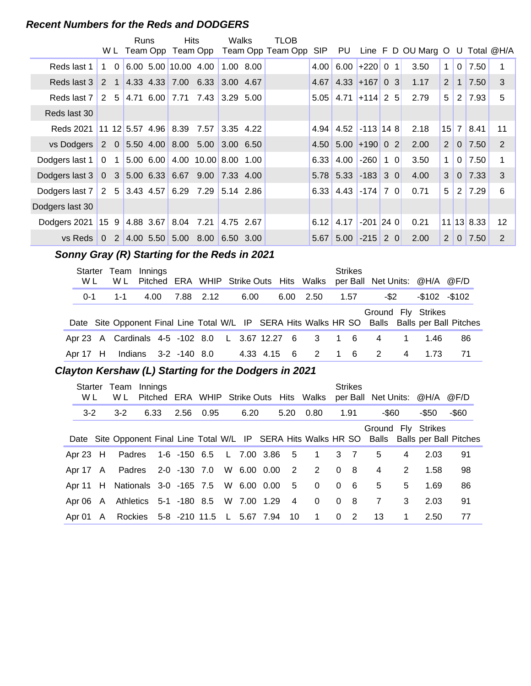#### **Recent Numbers for the Reds and DODGERS**

|                                              |              |              | Runs |                 | <b>Hits</b>                    | W L Team Opp Team Opp                      | Walks     | TLOB<br>Team Opp Team Opp | <b>SIP</b> |                      |                  |         | PU Line F D OU Marg O U Total @H/A |              |              |              |    |
|----------------------------------------------|--------------|--------------|------|-----------------|--------------------------------|--------------------------------------------|-----------|---------------------------|------------|----------------------|------------------|---------|------------------------------------|--------------|--------------|--------------|----|
| Reds last 1                                  |              | $1\quad 0$   |      |                 |                                | $6.00$ 5.00 10.00 4.00 1.00 8.00           |           |                           | 4.00       |                      | $6.00 + 220$     | $0 \t1$ | 3.50                               | $\mathbf{1}$ | $\mathbf{0}$ | 7.50         |    |
| Reds last 3                                  |              | $2 \quad 1$  |      |                 |                                | $ 4.33 \t4.33 \t7.00 \t6.33 \t3.00 \t4.67$ |           |                           | 4.67       |                      | $4.33 + 167$ 0 3 |         | 1.17                               | 2            | $\mathbf{1}$ | 7.50         | 3  |
| Reds last 7                                  | 2            |              |      |                 |                                | 5 4.71 6.00 7.71 7.43 3.29 5.00            |           |                           | 5.05       | $4.71$ + 114 2 5     |                  |         | 2.79                               | 5            | 2            | 7.93         | 5  |
| Reds last 30                                 |              |              |      |                 |                                |                                            |           |                           |            |                      |                  |         |                                    |              |              |              |    |
| Reds 2021                                    |              |              |      |                 | $11 \t12 \t5.57 \t4.96 \t8.39$ | 7.57                                       | 3.35 4.22 |                           | 4.94       |                      | $4.52$ -113 14 8 |         | 2.18                               |              | $15$ 7       | 8.41         | 11 |
| vs Dodgers                                   |              |              |      |                 |                                | 2 0 5.50 4.00 8.00 5.00 3.00 6.50          |           |                           |            | $4.50$ 5.00 +190 0 2 |                  |         | 2.00                               | 2            | $\Omega$     | 7.50         | 2  |
| Dodgers last 1                               | $\mathbf{0}$ | $\mathbf{1}$ |      |                 |                                | 5.00, 6.00, 4.00, 10.00, 8.00, 1.00        |           |                           | 6.33       |                      | $4.00$ -260      | 1 0     | 3.50                               | $\mathbf{1}$ | $\Omega$     | 7.50         | 1  |
| Dodgers last $3 \mid 0$                      |              |              |      |                 |                                | 3 5.00 6.33 6.67 9.00 7.33 4.00            |           |                           |            | $5.78$ 5.33 -183 3 0 |                  |         | 4.00                               | 3            | $\Omega$     | 7.33         | 3  |
| Dodgers last 7                               |              |              |      |                 |                                | 2 5 3.43 4.57 6.29 7.29 5.14 2.86          |           |                           | 6.33       | $4.43$ -174          |                  | 7 OI    | 0.71                               | 5            |              | 2 7.29       | 6  |
| Dodgers last 30                              |              |              |      |                 |                                |                                            |           |                           |            |                      |                  |         |                                    |              |              |              |    |
| Dodgers 2021                                 |              |              |      | $159$ 4.88 3.67 |                                | 8.04 7.21                                  | 4.75 2.67 |                           | 6.12       | 4.17                 | $-201$ 24 0      |         | 0.21                               |              |              | $11$ 13 8.33 | 12 |
| vs Reds $\vert 0 \vert$                      |              |              |      |                 |                                | 2 4.00 5.50 5.00 8.00 6.50 3.00            |           |                           | 5.67       |                      | $5.00$ -215 2 0  |         | 2.00                               | $\mathbf{2}$ |              | $0$ 7.50     | 2  |
| Sonny Gray (R) Starting for the Reds in 2021 |              |              |      |                 |                                |                                            |           |                           |            |                      |                  |         |                                    |              |              |              |    |

#### **..........Sonny Gray (R) Starting for the Reds in 2021**

| Starter<br>W L | Team<br>W L          | Innings<br>Pitched |  |           |      |             | <b>ERA WHIP Strike Outs Hits Walks</b>                                                        | <b>Strikes</b> |                |   | per Ball Net Units: @H/A @F/D |    |  |
|----------------|----------------------|--------------------|--|-----------|------|-------------|-----------------------------------------------------------------------------------------------|----------------|----------------|---|-------------------------------|----|--|
| $0 - 1$        | -1-1                 | 4.00               |  | 7.88 2.12 | 6.00 | 6.00        | 2.50                                                                                          | 1.57           | -\$2           |   | $-\$102 - \$102$              |    |  |
|                |                      |                    |  |           |      |             | Date Site Opponent Final Line Total W/L IP SERA Hits Walks HR SO Balls Balls per Ball Pitches |                |                |   | Ground Fly Strikes            |    |  |
|                |                      |                    |  |           |      |             | Apr 23 A Cardinals 4-5 -102 8.0 L 3.67 12.27 6 3 1 6                                          |                | 4 1            |   | 1.46                          | 86 |  |
| Apr 17 H       | Indians 3-2 -140 8.0 |                    |  |           |      | 4.33 4.15 6 | 2 1 6                                                                                         |                | $\overline{2}$ | 4 | 1.73                          | 71 |  |

# **..........Clayton Kershaw (L) Starting for the Dodgers in 2021**

| Starter<br>W L | Team<br>W L                                 | Innings |      |                                   |      |                | Pitched ERA WHIP Strike Outs Hits Walks |                | <b>Strikes</b> |          |             | per Ball Net Units: @H/A @F/D |                                                                                               |
|----------------|---------------------------------------------|---------|------|-----------------------------------|------|----------------|-----------------------------------------|----------------|----------------|----------|-------------|-------------------------------|-----------------------------------------------------------------------------------------------|
| $3-2$          | $3-2$                                       |         | 6.33 | 2.56 0.95                         | 6.20 | 5.20           | 0.80                                    |                | 1.91           | $-$ \$60 |             | -\$50                         | $-$ \$60                                                                                      |
|                |                                             |         |      |                                   |      |                |                                         |                |                |          |             | Ground Fly Strikes            | Date Site Opponent Final Line Total W/L IP SERA Hits Walks HR SO Balls Balls per Ball Pitches |
| Apr 23 H       |                                             |         |      | Padres 1-6 -150 6.5 L 7.00 3.86 5 |      |                | $1 \quad 3 \quad 7$                     |                |                | 5        | 4           | 2.03                          | 91                                                                                            |
|                | Apr 17 A Padres 2-0 -130 7.0 W 6.00 0.00    |         |      |                                   |      | $\overline{2}$ | 2                                       | $\Omega$       | - 8            | 4        | 2           | 1.58                          | 98                                                                                            |
|                | Apr 11 H Nationals 3-0 -165 7.5 W 6.00 0.00 |         |      |                                   |      | - 5            | $\Omega$                                | $\Omega$       | - 6            | 5        | 5           | 1.69                          | 86                                                                                            |
|                | Apr 06 A Athletics 5-1 -180 8.5 W 7.00 1.29 |         |      |                                   |      | $\overline{4}$ | $\Omega$                                | $\Omega$       | - 8            | 7        | 3           | 2.03                          | 91                                                                                            |
|                | Apr 01 A Rockies 5-8 -210 11.5 L 5.67 7.94  |         |      |                                   |      | - 10           | $\mathbf{1}$                            | $\overline{0}$ | $\overline{2}$ | 13       | $\mathbf 1$ | 2.50                          | 77                                                                                            |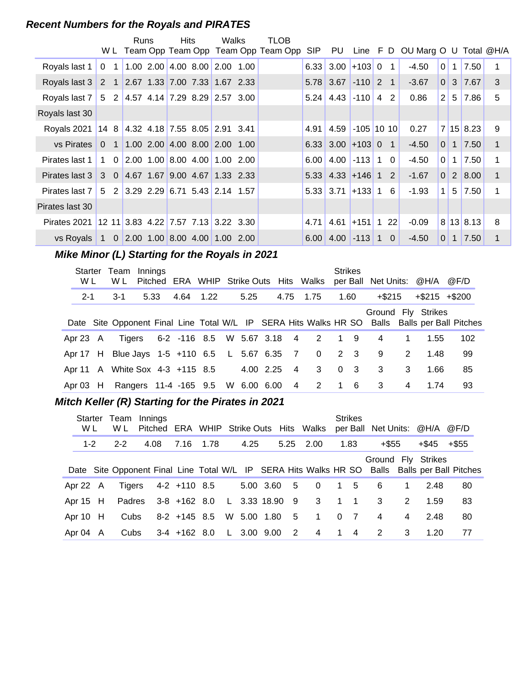# **Recent Numbers for the Royals and PIRATES**

|                                                                  |                | Runs                                | Hits | Walks                           | TLOB                                    |      |                              |                   |                |                                        |                |                |           |                |
|------------------------------------------------------------------|----------------|-------------------------------------|------|---------------------------------|-----------------------------------------|------|------------------------------|-------------------|----------------|----------------------------------------|----------------|----------------|-----------|----------------|
|                                                                  |                |                                     |      |                                 | W L Team Opp Team Opp Team Opp Team Opp |      |                              |                   |                | SIP PU Line F D OU Marg O U Total @H/A |                |                |           |                |
| Royals last 1                                                    | 0 <sub>1</sub> |                                     |      | $1.00$ 2.00 4.00 8.00 2.00 1.00 |                                         |      | $6.33$ 3.00 + 103 0          |                   | $\overline{1}$ | $-4.50$                                | $\overline{0}$ |                | 7.50      | 1              |
| Royals last 3 2 1 2.67 1.33 7.00 7.33 1.67 2.33                  |                |                                     |      |                                 |                                         |      | 5.78 3.67                    | $-110$ 2 1        |                | $-3.67$                                | 0 <sup>1</sup> | 3 <sup>1</sup> | 7.67      | 3              |
| Royals last 7   5 2   4.57 4.14   7.29 8.29   2.57 3.00          |                |                                     |      |                                 |                                         |      | $5.24$ 4.43 -110 4 2         |                   |                | 0.86                                   | 2 <sup>1</sup> |                | 5 7.86    | 5              |
| Royals last 30                                                   |                |                                     |      |                                 |                                         |      |                              |                   |                |                                        |                |                |           |                |
| Royals 2021 14 8 4.32 4.18 7.55 8.05 2.91 3.41                   |                |                                     |      |                                 |                                         | 4.91 |                              | $4.59$ -105 10 10 |                | 0.27                                   |                |                | 7 15 8.23 | 9              |
| vs Pirates                                                       |                | $0$ 1 1.00 2.00 4.00 8.00 2.00 1.00 |      |                                 |                                         |      | $6.33$ 3.00 + 103 0 1        |                   |                | $-4.50$                                | 0              | 1 <sup>1</sup> | 7.50      | $\overline{1}$ |
| Pirates last 1   1 0   2.00 1.00   8.00 4.00   1.00 2.00         |                |                                     |      |                                 |                                         | 6.00 |                              | $4.00$ -113 1 0   |                | $-4.50$                                | 0 <sup>1</sup> | 1 <sup>1</sup> | 7.50      | 1              |
| Pirates last 3 3 0 4.67 1.67 9.00 4.67 1.33 2.33                 |                |                                     |      |                                 |                                         |      | $5.33$ 4.33 + 146 1 2        |                   |                | $-1.67$                                | 0              | 2 <sup>1</sup> | 8.00      | $\mathbf{1}$   |
| Pirates last 7   5   2   3.29   2.29   6.71   5.43   2.14   1.57 |                |                                     |      |                                 |                                         |      | $5.33$   $3.71$   $+133$   1 |                   | -6             | $-1.93$                                | 1 <sup>1</sup> |                | 5 7.50    | 1              |
| Pirates last 30                                                  |                |                                     |      |                                 |                                         |      |                              |                   |                |                                        |                |                |           |                |
| Pirates 2021 12 11 3.83 4.22 7.57 7.13 3.22 3.30                 |                |                                     |      |                                 |                                         | 4.71 |                              | $4.61$ +151 1     | 22             | $-0.09$                                |                |                | 8 13 8.13 | 8              |
| vs Royals 1 0 2.00 1.00 8.00 4.00 1.00 2.00                      |                |                                     |      |                                 |                                         | 6.00 | 4.00                         | $-113$ 1 0        |                | -4.50                                  | $\overline{0}$ | 1 <sup>1</sup> | 7.50      | 1              |

# **Mike Minor (L) Starting for the Royals in 2021**

| Starter<br>W L | Team<br>W L                     | Innings |           |  |             |  | Pitched ERA WHIP Strike Outs Hits Walks             | <b>Strikes</b> | per Ball Net Units: @H/A |             |                     | @F/D                                                                                          |
|----------------|---------------------------------|---------|-----------|--|-------------|--|-----------------------------------------------------|----------------|--------------------------|-------------|---------------------|-----------------------------------------------------------------------------------------------|
| $2 - 1$        | $3-1$                           | 5.33    | 4.64 1.22 |  | 5.25        |  | 4.75 1.75                                           | 1.60           | +\$215                   |             | $+$ \$215 $+$ \$200 |                                                                                               |
|                |                                 |         |           |  |             |  |                                                     |                |                          |             | Ground Fly Strikes  | Date Site Opponent Final Line Total W/L IP SERA Hits Walks HR SO Balls Balls per Ball Pitches |
| Apr 23 A       |                                 |         |           |  |             |  | Tigers 6-2 -116 8.5 W 5.67 3.18 4 2 1 9             |                | 4                        | $\mathbf 1$ | 1.55                | 102                                                                                           |
|                |                                 |         |           |  |             |  | Apr 17 H Blue Jays 1-5 +110 6.5 L 5.67 6.35 7 0 2 3 |                | - 9                      | 2           | 1.48                | 99                                                                                            |
|                | Apr 11 A White Sox 4-3 +115 8.5 |         |           |  | 4.00 2.25 4 |  | $\mathbf{3}$                                        | 0 <sup>3</sup> | 3                        | 3           | 1.66                | 85                                                                                            |
|                |                                 |         |           |  |             |  | Apr 03 H Rangers 11-4 -165 9.5 W 6.00 6.00 4 2 1 6  |                | 3                        | 4           | 1.74                | 93                                                                                            |

# **Mitch Keller (R) Starting for the Pirates in 2021**

| W L        | W L     | Starter Team Innings<br>Pitched ERA WHIP Strike Outs Hits Walks                               |                          |  |      |                |                                   | <b>Strikes</b> | per Ball Net Units: @H/A @F/D |             |       |       |
|------------|---------|-----------------------------------------------------------------------------------------------|--------------------------|--|------|----------------|-----------------------------------|----------------|-------------------------------|-------------|-------|-------|
| $1 - 2$    | $2 - 2$ | 4.08                                                                                          | 7.16 1.78                |  | 4.25 |                | 5.25 2.00                         | 1.83           | $+$ \$55                      |             | +\$45 | +\$55 |
|            |         | Date Site Opponent Final Line Total W/L IP SERA Hits Walks HR SO Balls Balls per Ball Pitches |                          |  |      |                |                                   |                | Ground Fly Strikes            |             |       |       |
| Apr 22 A   | Tigers  |                                                                                               | 4-2 +110 8.5 5.00 3.60   |  |      | 5              | $\overline{\phantom{0}}$          | 1 5            | - 6                           | $\mathbf 1$ | 2.48  | 80    |
| Apr $15$ H | Padres  |                                                                                               |                          |  |      |                | 3-8 +162 8.0 L 3.33 18.90 9 3 1 1 |                | $\overline{\mathbf{3}}$       | 2           | 1.59  | 83    |
| Apr $10$ H | Cubs    |                                                                                               | 8-2 +145 8.5 W 5.00 1.80 |  |      | 5 <sub>5</sub> | 1 0 7                             |                | $\overline{4}$                | 4           | 2.48  | 80    |
| Apr 04 A   | Cubs    |                                                                                               | 3-4 +162 8.0 L 3.00 9.00 |  |      | $\overline{2}$ | 4 1                               | $\overline{4}$ | $\overline{2}$                | 3           | 1.20  | 77    |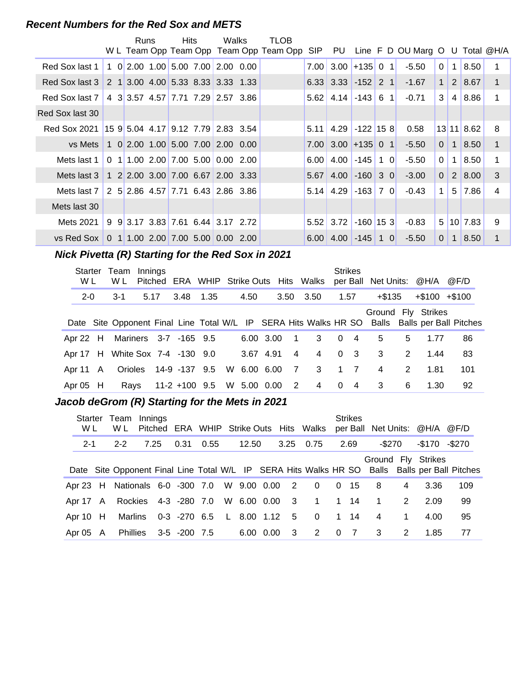#### **Recent Numbers for the Red Sox and METS**

|                                                  | <b>Runs</b> | <b>Hits</b> | Walks                                             | <b>TLOB</b>                                                                    |      |                            |                 |         |                |                |                       |             |
|--------------------------------------------------|-------------|-------------|---------------------------------------------------|--------------------------------------------------------------------------------|------|----------------------------|-----------------|---------|----------------|----------------|-----------------------|-------------|
|                                                  |             |             |                                                   | W L Team Opp Team Opp Team Opp Team Opp SIP PU Line F D OU Marg O U Total @H/A |      |                            |                 |         |                |                |                       |             |
| Red Sox last 1                                   |             |             | $1 \t0 \t2.00 \t1.00 \t5.00 \t7.00 \t2.00 \t0.00$ |                                                                                | 7.00 |                            | $3.00$ +135 0 1 | $-5.50$ | $\Omega$       |                | 1 8.50                |             |
| Red Sox last 3 2 1 3.00 4.00 5.33 8.33 3.33 1.33 |             |             |                                                   |                                                                                |      | $6.33$ 3.33 -152 2 1       |                 | $-1.67$ | 1 <sup>1</sup> |                | 2 8.67                | $\mathbf 1$ |
| Red Sox last 7                                   |             |             | 4 3 3.57 4.57 7.71 7.29 2.57 3.86                 |                                                                                |      | $5.62$   4.14   -143   6 1 |                 | $-0.71$ | 3 <sup>1</sup> |                | 4 8.86                | 1           |
| Red Sox last 30                                  |             |             |                                                   |                                                                                |      |                            |                 |         |                |                |                       |             |
| Red Sox 2021 15 9 5.04 4.17 9.12 7.79 2.83 3.54  |             |             |                                                   |                                                                                | 5.11 | 4.29 -122 15 8             |                 | 0.58    |                |                | 13 11 8.62            | 8           |
| vs Mets                                          |             |             | $1 \t0 \t2.00 \t1.00 \t5.00 \t7.00 \t2.00 \t0.00$ |                                                                                |      | $7.00$ 3.00 + 135 0 1      |                 | $-5.50$ | 0 <sup>1</sup> |                | $1 \,   \, 8.50 \,  $ |             |
| Mets last 1 l                                    |             |             | $0$ 1 1.00 2.00 7.00 5.00 0.00 2.00               |                                                                                | 6.00 |                            | $4.00$ -145 1 0 | $-5.50$ | 0              | 1 <sup>1</sup> | 8.50                  | -1          |
| Mets last 3                                      |             |             | 1 2 2.00 3.00 7.00 6.67 2.00 3.33                 |                                                                                |      | $5.67$ 4.00 -160 3 0       |                 | $-3.00$ | $\overline{0}$ |                | 2 8.00                | 3           |
| Mets last 7 2 5 2.86 4.57 7.71 6.43 2.86 3.86    |             |             |                                                   |                                                                                |      | $5.14$ 4.29 -163 7 0       |                 | $-0.43$ | 1 <sup>1</sup> |                | $5 \mid 7.86$         | 4           |
| Mets last 30                                     |             |             |                                                   |                                                                                |      |                            |                 |         |                |                |                       |             |
| Mets 2021                                        |             |             | $9 \overline{)3.17}$ 3.83 7.61 6.44 3.17 2.72     |                                                                                |      | $5.52$ 3.72 -160 15 3      |                 | $-0.83$ |                |                | 5 10 7.83             | 9           |
| vs Red Sox 0 1 1.00 2.00 7.00 5.00 0.00 2.00     |             |             |                                                   |                                                                                |      | $6.00$ 4.00 -145 1 0       |                 | $-5.50$ | $\overline{0}$ |                | $1 \, 8.50$           |             |

# **Nick Pivetta (R) Starting for the Red Sox in 2021**

| Starter<br>W L | Team<br>W L                     | Innings<br>Pitched |                       |                           |             |                         | ERA WHIP Strike Outs Hits Walks |          | <b>Strikes</b>          | per Ball Net Units: @H/A |               |                    | @F/D                                                                                          |
|----------------|---------------------------------|--------------------|-----------------------|---------------------------|-------------|-------------------------|---------------------------------|----------|-------------------------|--------------------------|---------------|--------------------|-----------------------------------------------------------------------------------------------|
| $2 - 0$        | $3-1$                           | 5.17               | 3.48                  | 1.35                      | 4.50        |                         | 3.50 3.50                       | 1.57     |                         | +\$135                   |               | $+\$100 + \$100$   |                                                                                               |
|                |                                 |                    |                       |                           |             |                         |                                 |          |                         |                          |               | Ground Fly Strikes | Date Site Opponent Final Line Total W/L IP SERA Hits Walks HR SO Balls Balls per Ball Pitches |
|                | Apr 22 H Mariners 3-7 -165 9.5  |                    |                       |                           | 6.00 3.00   | $\overline{\mathbf{1}}$ | $\overline{\mathbf{3}}$         | $\Omega$ | $\overline{4}$          | 5                        | 5             | 1.77               | 86                                                                                            |
|                | Apr 17 H White Sox 7-4 -130 9.0 |                    |                       |                           | 3.67 4.91   | 4                       | 4                               | $\Omega$ | $\overline{\mathbf{3}}$ | 3                        | 2             | 1.44               | 83                                                                                            |
| Apr 11 A       |                                 |                    | Orioles 14-9 -137 9.5 |                           | W 6.00 6.00 | $\overline{7}$          | 3                               |          | $1 \quad 7$             | 4                        | $\mathcal{P}$ | 1.81               | 101                                                                                           |
| Apr $05$ H     | Rays                            |                    |                       | 11-2 +100 9.5 W 5.00 0.00 |             | $\overline{2}$          | 4                               | $\Omega$ | $\overline{4}$          | 3                        | 6             | 1.30               | 92                                                                                            |

# Jacob deGrom (R) Starting for the Mets in 2021

| Starter<br>W L | Team<br>W L                     | Innings |                       |      |             |               | Pitched ERA WHIP Strike Outs Hits Walks |                | <b>Strikes</b> |                |             | per Ball Net Units: @H/A @F/D |                                                                                               |
|----------------|---------------------------------|---------|-----------------------|------|-------------|---------------|-----------------------------------------|----------------|----------------|----------------|-------------|-------------------------------|-----------------------------------------------------------------------------------------------|
| $2 - 1$        | $2 - 2$                         | 7.25    | 0.31                  | 0.55 | 12.50       |               | $3.25$ 0.75                             |                | 2.69           | -\$270         |             | -\$170                        | -\$270                                                                                        |
|                |                                 |         |                       |      |             |               |                                         |                |                |                |             | Ground Fly Strikes            | Date Site Opponent Final Line Total W/L IP SERA Hits Walks HR SO Balls Balls per Ball Pitches |
|                | Apr 23 H Nationals 6-0 -300 7.0 |         |                       |      |             | W 9.00 0.00 2 | $\overline{0}$                          |                | 0 15           | - 8            | 4           | 3.36                          | 109                                                                                           |
| Apr 17 A       |                                 |         | Rockies 4-3 -280 7.0  |      | W 6.00 0.00 | $\mathbf{3}$  | $\blacksquare$ 1                        | $1 \quad 14$   |                | $\mathbf 1$    | 2           | 2.09                          | 99                                                                                            |
| Apr 10 $H$     | Marlins                         |         | 0-3 -270 6.5          |      | L 8.00 1.12 | - 5           | 0 1 14                                  |                |                | $\overline{4}$ | $\mathbf 1$ | 4.00                          | 95                                                                                            |
| Apr $05$ A     |                                 |         | Phillies 3-5 -200 7.5 |      | 6.00 0.00   | - 3           | 2                                       | $\overline{0}$ | $\overline{7}$ | $\mathbf{3}$   | 2           | 1.85                          | 77                                                                                            |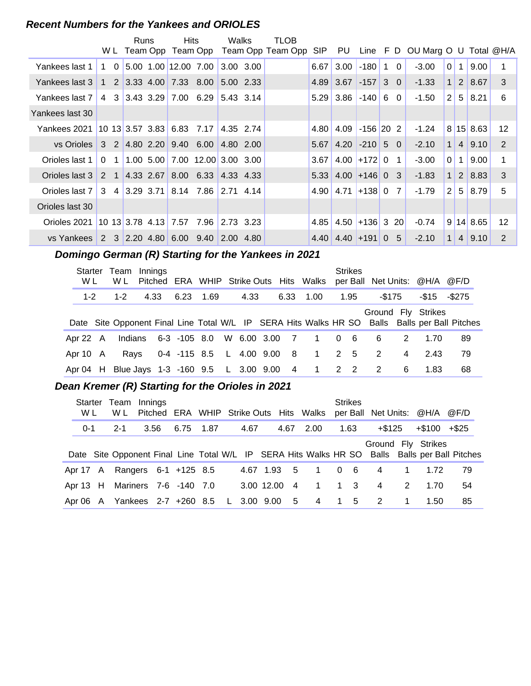# **Recent Numbers for the Yankees and ORIOLES**

|                                                  |                |                | <b>Runs</b> | <b>Hits</b>                                                      | Walks     |           | TLOB              |      |                       |               |            |                |                                    |                |                |           |                 |
|--------------------------------------------------|----------------|----------------|-------------|------------------------------------------------------------------|-----------|-----------|-------------------|------|-----------------------|---------------|------------|----------------|------------------------------------|----------------|----------------|-----------|-----------------|
|                                                  |                |                |             | W L Team Opp Team Opp                                            |           |           | Team Opp Team Opp | SIP. |                       |               |            |                | PU Line F D OU Marg O U Total @H/A |                |                |           |                 |
| Yankees last 1                                   | 1              | 0 <sub>1</sub> |             | $5.00$ 1.00 12.00 7.00 3.00 3.00                                 |           |           |                   | 6.67 | 3.00                  | $-180$        | $1\quad 0$ |                | $-3.00$                            | $\overline{0}$ | $\mathbf{1}$   | 9.00      | 1               |
| Yankees last 3                                   | $\mathbf{1}$   |                |             | 2 3.33 4.00 7.33 8.00                                            |           | 5.00 2.33 |                   |      | 4.89 3.67             | $-157$ 3 0    |            |                | $-1.33$                            | 1 <sup>1</sup> | 2 <sup>1</sup> | 8.67      | 3               |
| Yankees last 7                                   | $\overline{4}$ |                |             | $3 \mid 3.43 \mid 3.29 \mid 7.00 \mid 6.29 \mid 5.43 \mid 3.14$  |           |           |                   |      | $5.29$ 3.86           | $-140$ 6 0    |            |                | -1.50                              | 2              | 5 <sup>1</sup> | 8.21      | 6               |
| Yankees last 30                                  |                |                |             |                                                                  |           |           |                   |      |                       |               |            |                |                                    |                |                |           |                 |
| Yankees 2021 10 13 3.57 3.83 6.83 7.17           |                |                |             |                                                                  | 4.35 2.74 |           |                   | 4.80 | 4.09                  | $-156$ 20 2   |            |                | $-1.24$                            |                |                | 8 15 8.63 | 12              |
| vs Orioles                                       |                |                |             | $3\quad 2 \quad 4.80 \quad 2.20 \quad 9.40 \quad 6.00$           | 4.80 2.00 |           |                   | 5.67 | $4.20$ -210 5 0       |               |            |                | $-2.10$                            | $\mathbf 1$    | 4 <sup>1</sup> | 9.10      | 2               |
| Orioles last 1                                   | $\Omega$       |                |             | $1 \mid 1.00 \mid 5.00 \mid 7.00 \mid 12.00 \mid 3.00 \mid 3.00$ |           |           |                   | 3.67 |                       | $4.00$ +172 0 |            | $\blacksquare$ | $-3.00$                            | $\Omega$       | $\mathbf{1}$   | 9.00      | 1               |
| Orioles last 3                                   | $2 \quad 1$    |                |             | $ 4.33 \t2.67 \t  8.00 \t6.33 \t4.33 \t4.33$                     |           |           |                   |      | $5.33$ 4.00 + 146 0 3 |               |            |                | $-1.83$                            | $\mathbf 1$    | 2              | 8.83      | 3               |
| Orioles last 7                                   |                |                |             | 3 4 3.29 3.71 8.14 7.86 2.71 4.14                                |           |           |                   |      | 4.90 4.71             | $+138$ 0      |            | $\overline{7}$ | $-1.79$                            | 2              | 5 <sup>1</sup> | 8.79      | 5               |
| Orioles last 30                                  |                |                |             |                                                                  |           |           |                   |      |                       |               |            |                |                                    |                |                |           |                 |
| Orioles 2021 10 13 3.78 4.13 7.57 7.96 2.73 3.23 |                |                |             |                                                                  |           |           |                   | 4.85 | $4.50$ +136 3 20      |               |            |                | $-0.74$                            |                |                | 9 14 8.65 | 12 <sup>2</sup> |
| vs Yankees                                       |                |                |             | $2 \quad 3 \quad 2.20 \quad 4.80 \quad 6.00 \quad 9.40$          | 2.00 4.80 |           |                   |      | $4.40$ 4.40 + 191 0 5 |               |            |                | $-2.10$                            | 1              | $\overline{4}$ | 9.10      | 2               |

# **..........Domingo German (R) Starting for the Yankees in 2021**

| Starter<br>W L | Team<br>W L | Innings |                      |                          |      |               | Pitched ERA WHIP Strike Outs Hits Walks             |      | <b>Strikes</b> |                |   | per Ball Net Units: @H/A @F/D |                                                                                               |
|----------------|-------------|---------|----------------------|--------------------------|------|---------------|-----------------------------------------------------|------|----------------|----------------|---|-------------------------------|-----------------------------------------------------------------------------------------------|
| $1 - 2$        | $1 - 2$     | 4.33    | 6.23                 | 1.69                     | 4.33 | 6.33          | 1.00                                                | 1.95 |                | -\$175         |   | $-\$15 - \$275$               |                                                                                               |
|                |             |         |                      |                          |      |               |                                                     |      |                |                |   | Ground Fly Strikes            | Date Site Opponent Final Line Total W/L IP SERA Hits Walks HR SO Balls Balls per Ball Pitches |
| Apr 22 A       |             |         | Indians 6-3 -105 8.0 |                          |      | W 6.00 3.00 7 | 1 0 6                                               |      |                | - 6            | 2 | 1.70                          | 89                                                                                            |
| Apr 10 A       | Rays        |         |                      | 0-4 -115 8.5 L 4.00 9.00 |      |               | 8 1 2 5                                             |      |                | 2              | 4 | 2.43                          | 79                                                                                            |
|                |             |         |                      |                          |      |               | Apr 04 H Blue Jays 1-3 -160 9.5 L 3.00 9.00 4 1 2 2 |      |                | $\overline{2}$ | 6 | 1.83                          | 68                                                                                            |

#### **Dean Kremer (R) Starting for the Orioles in 2021**

| Starter<br>W L | Team Innings<br>W L                       |      |      |        |              |             |      | Pitched ERA WHIP Strike Outs Hits Walks |                | <b>Strikes</b> |                |          | per Ball Net Units: @H/A @F/D                                                                 |    |  |
|----------------|-------------------------------------------|------|------|--------|--------------|-------------|------|-----------------------------------------|----------------|----------------|----------------|----------|-----------------------------------------------------------------------------------------------|----|--|
| 0-1            | $2 - 1$                                   | 3.56 | 6.75 | - 1.87 | 4.67         |             | 4.67 | 2.00                                    |                | 1.63           | +\$125         |          | $+\$100$ $+\$25$                                                                              |    |  |
|                |                                           |      |      |        |              |             |      |                                         |                |                |                |          | Ground Fly Strikes                                                                            |    |  |
|                |                                           |      |      |        |              |             |      |                                         |                |                |                |          | Date Site Opponent Final Line Total W/L IP SERA Hits Walks HR SO Balls Balls per Ball Pitches |    |  |
| Apr 17 A       | Rangers 6-1 +125 8.5                      |      |      |        |              | 4.67 1.93 5 |      | $\mathbf 1$                             | $\overline{0}$ | - 6            | 4              | $\sim$ 1 | 1.72                                                                                          | 79 |  |
| Apr 13 H       | Mariners 7-6 -140 7.0                     |      |      |        | 3.00 12.00 4 |             |      | $\overline{1}$                          | $1 \quad 3$    |                | 4              | 2        | 1.70                                                                                          | 54 |  |
|                | Apr 06 A Yankees 2-7 +260 8.5 L 3.00 9.00 |      |      |        |              |             | - 5  | 4 1 5                                   |                |                | $\overline{2}$ |          | 1.50                                                                                          | 85 |  |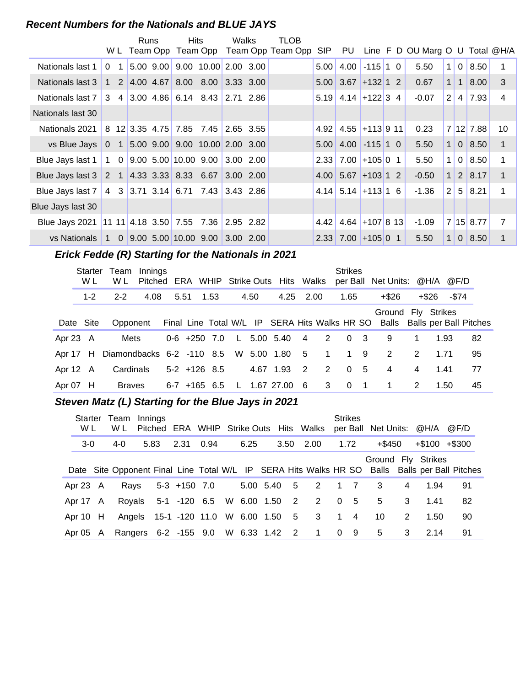#### **Recent Numbers for the Nationals and BLUE JAYS**

|                                                    |          |                | Runs         | Hits                                                                          | Walks           | TLOB                       |      |                        |                 |  |                                    |                |                |                |                 |
|----------------------------------------------------|----------|----------------|--------------|-------------------------------------------------------------------------------|-----------------|----------------------------|------|------------------------|-----------------|--|------------------------------------|----------------|----------------|----------------|-----------------|
|                                                    |          |                | W L Team Opp |                                                                               |                 | Team Opp Team Opp Team Opp | SIP  |                        |                 |  | PU Line F D OU Marg O U Total @H/A |                |                |                |                 |
| Nationals last 1                                   | $\Omega$ | $\overline{1}$ |              | $5.00$ $9.00$ $9.00$ $10.00$ $2.00$ $3.00$                                    |                 |                            | 5.00 |                        | $4.00$ -115 1 0 |  | 5.50                               | 1 <sup>1</sup> | $\overline{0}$ | 8.50           | 1               |
| Nationals last 3                                   |          |                |              | $1 \quad 2 \quad 4.00 \quad 4.67 \quad 8.00 \quad 8.00 \quad 3.33 \quad 3.00$ |                 |                            |      | $5.00$ 3.67 + 132 1 2  |                 |  | 0.67                               | 1 <sup>1</sup> | $\mathbf{1}$   | 8.00           | 3               |
| Nationals last 7                                   |          |                |              | $3\quad 4 \mid 3.00 \mid 4.86 \mid 6.14 \mid 8.43 \mid 2.71 \mid 2.86$        |                 |                            |      | $5.19$ 4.14 + 122 3 4  |                 |  | $-0.07$                            | 2              |                | $4 \mid 7.93$  | 4               |
| Nationals last 30                                  |          |                |              |                                                                               |                 |                            |      |                        |                 |  |                                    |                |                |                |                 |
| Nationals 2021                                     |          |                |              | 8 12 3.35 4.75 7.85 7.45 2.65 3.55                                            |                 |                            | 4.92 | $4.55$ +113 9 11       |                 |  | 0.23                               |                |                | 7 12 7.88      | 10 <sup>°</sup> |
| vs Blue Jays                                       |          |                |              | $0$ 1 5.00 9.00 9.00 10.00 2.00 3.00                                          |                 |                            |      | $5.00$ 4.00 -115 1 0   |                 |  | 5.50                               |                |                | $1 \ 0 \ 8.50$ | $\mathbf{1}$    |
| Blue Jays last 1                                   |          |                |              | $1 \t0 \t9.00 \t5.00 \t10.00 \t9.00$                                          | $ 3.00 \t2.00 $ |                            |      | $2.33$ 7.00 + 105 0 1  |                 |  | 5.50                               | 1 <sup>1</sup> | $\overline{0}$ | 8.50           | 1               |
| Blue Jays last $3 \mid$                            |          |                |              | 2 1 4.33 3.33 8.33 6.67 3.00 2.00                                             |                 |                            |      | $4.00$ 5.67 + 103 1 2  |                 |  | $-0.50$                            | 1 <sup>1</sup> |                | 2 8.17         | $\mathbf{1}$    |
| Blue Jays last 7                                   |          |                |              | 4 3 3.71 3.14 6.71 7.43 3.43 2.86                                             |                 |                            |      | $4.14$ 5.14 + 113 1 6  |                 |  | $-1.36$                            | 2              |                | 5 8.21         | 1               |
| Blue Jays last 30                                  |          |                |              |                                                                               |                 |                            |      |                        |                 |  |                                    |                |                |                |                 |
| Blue Jays 2021 11 11 4.18 3.50 7.55 7.36 2.95 2.82 |          |                |              |                                                                               |                 |                            |      | $4.42$ 4.64 + 107 8 13 |                 |  | $-1.09$                            |                |                | 7 15 8.77      | $\overline{7}$  |
| vs Nationals                                       |          |                |              | $1 \quad 0 \quad 9.00 \quad 5.00 \quad 10.00 \quad 9.00$                      | 3.00 2.00       |                            |      | $2.33$ 7.00 + 105 0 1  |                 |  | 5.50                               | 1 <sup>1</sup> |                | 0   8.50       | 1               |

# **Erick Fedde (R) Starting for the Nationals in 2021**

|            | Starter<br>W L | Team<br>W L                                        | Innings<br>Pitched ERA WHIP Strike Outs Hits Walks |                |      |      |               |     |      | <b>Strikes</b> |                         | per Ball Net Units: @H/A @F/D                                                                    |                |                |    |
|------------|----------------|----------------------------------------------------|----------------------------------------------------|----------------|------|------|---------------|-----|------|----------------|-------------------------|--------------------------------------------------------------------------------------------------|----------------|----------------|----|
|            | $1 - 2$        | $2 - 2$                                            | 4.08                                               | 5.51           | 1.53 | 4.50 | 4.25          |     | 2.00 | 1.65           |                         | $+$ \$26                                                                                         |                | +\$26<br>-\$74 |    |
|            | Date Site      | Opponent                                           |                                                    |                |      |      |               |     |      |                |                         | Ground Fly Strikes<br>Final Line Total W/L IP SERA Hits Walks HR SO Balls Balls per Ball Pitches |                |                |    |
| Apr 23 A   |                | Mets                                               |                                                    | $0-6$ +250 7.0 |      |      | L 5.00 5.40 4 |     | 2    | $\Omega$       | $\mathbf{3}$            | 9                                                                                                |                | 1.93           | 82 |
|            |                | Apr 17 H Diamondbacks 6-2 -110 8.5 W 5.00 1.80 5 1 |                                                    |                |      |      |               |     |      | 19             |                         | 2                                                                                                | 2              | 1.71           | 95 |
| Apr 12 A   |                | Cardinals                                          |                                                    | $5-2$ +126 8.5 |      |      | 4.67 1.93     | 2   | 2    | $\overline{0}$ | - 5                     | 4                                                                                                | 4              | 1.41           | 77 |
| Apr $07$ H |                | Braves                                             |                                                    | $6-7$ +165 6.5 |      |      | L 1.67 27.00  | - 6 | -3   | $\overline{0}$ | $\overline{\mathbf{1}}$ | $\overline{1}$                                                                                   | $\overline{2}$ | 1.50           | 45 |

# Steven Matz (L) Starting for the Blue Jays in 2021

| Starter<br>W L | Team<br>W L                        | Innings |                |                            |      |      | Pitched ERA WHIP Strike Outs Hits Walks |             | <b>Strikes</b> | per Ball Net Units: @H/A @F/D |               |                    |                                                                                               |
|----------------|------------------------------------|---------|----------------|----------------------------|------|------|-----------------------------------------|-------------|----------------|-------------------------------|---------------|--------------------|-----------------------------------------------------------------------------------------------|
| $3-0$          | $4 - 0$                            | 5.83    | 2.31           | 0.94                       | 6.25 | 3.50 | 2.00                                    |             | 1.72           | $+$ \$450                     |               | $+\$100 + \$300$   |                                                                                               |
|                |                                    |         |                |                            |      |      |                                         |             |                |                               |               | Ground Fly Strikes | Date Site Opponent Final Line Total W/L IP SERA Hits Walks HR SO Balls Balls per Ball Pitches |
| Apr 23 A       | Rays                               |         | $5-3$ +150 7.0 |                            |      |      | 5.00 5.40 5 2 1 7                       |             |                | 3                             | 4             | 1.94               | 91                                                                                            |
| Apr 17 A       | Rovals                             |         |                | 5-1 -120 6.5 W 6.00 1.50 2 |      |      | 2 0 5                                   |             |                | 5                             | $\mathcal{S}$ | 1.41               | 82                                                                                            |
| Apr 10 H       |                                    |         |                |                            |      |      | Angels 15-1 -120 11.0 W 6.00 1.50 5 3   | $1 \quad 4$ |                | 10                            | 2             | 1.50               | 90                                                                                            |
| Apr 05 A       | Rangers 6-2 -155 9.0 W 6.33 1.42 2 |         |                |                            |      |      | 1 0 9                                   |             |                | 5                             | 3             | 2.14               | 91                                                                                            |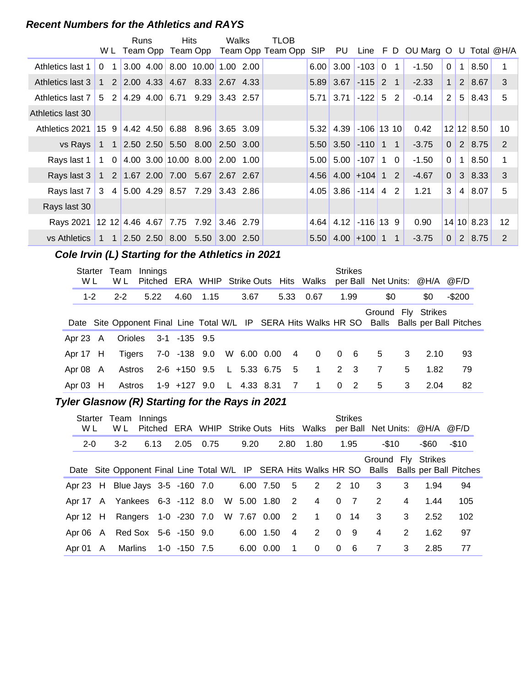#### **Recent Numbers for the Athletics and RAYS**

|                   |             |                | Runs |             | <b>Hits</b>                                                                   |                      | Walks     | TLOB                                |            |                       |              |                       |                                 |                |              |               |    |
|-------------------|-------------|----------------|------|-------------|-------------------------------------------------------------------------------|----------------------|-----------|-------------------------------------|------------|-----------------------|--------------|-----------------------|---------------------------------|----------------|--------------|---------------|----|
|                   |             | W L            |      |             |                                                                               |                      |           | Team Opp Team Opp Team Opp Team Opp | <b>SIP</b> | PU                    |              |                       | Line F D OU Marg O U Total @H/A |                |              |               |    |
| Athletics last 1  | $\Omega$    | $\mathbf{1}$   |      | $3.00$ 4.00 |                                                                               | 8.00 10.00 1.00 2.00 |           |                                     | 6.00       | 3.00                  | $-103$ 0     | $\mathbf{1}$          | $-1.50$                         | $\mathbf{0}$   |              | 8.50          |    |
| Athletics last 3  |             |                |      |             | $1 \quad 2 \quad 2.00 \quad 4.33 \quad 4.67 \quad 8.33 \quad 2.67 \quad 4.33$ |                      |           |                                     |            | $5.89$ 3.67 -115 2 1  |              |                       | $-2.33$                         | $\mathbf{1}$   |              | $2 \mid 8.67$ | 3  |
| Athletics last 7  | $5^{\circ}$ |                |      |             | 2 4.29 4.00 6.71                                                              | $9.29$ 3.43 2.57     |           |                                     |            | $5.71$ 3.71 -122 5    |              | 2                     | $-0.14$                         | $\overline{2}$ | 5            | 8.43          | 5  |
| Athletics last 30 |             |                |      |             |                                                                               |                      |           |                                     |            |                       |              |                       |                                 |                |              |               |    |
| Athletics 2021    |             |                |      |             | 15 9 4.42 4.50 6.88 8.96 3.65 3.09                                            |                      |           |                                     | 5.32       | 4.39                  | $-106$ 13 10 |                       | 0.42                            |                |              | $12$ 12 8.50  | 10 |
| vs Rays           |             |                |      |             | $1 \quad 1 \quad 2.50 \quad 2.50 \quad 5.50 \quad 8.00 \quad 2.50 \quad 3.00$ |                      |           |                                     |            | $5.50$ 3.50 -110 1    |              | $\overline{1}$        | $-3.75$                         | $\Omega$       |              | $2 \mid 8.75$ | 2  |
| Rays last 1       | 1 0         |                |      |             | 4.00 3.00 10.00 8.00 2.00 1.00                                                |                      |           |                                     | 5.00       | $5.00$ -107           |              | $\vert$ 1<br>$\Omega$ | $-1.50$                         | $\Omega$       | 1            | 8.50          |    |
| Rays last 3       |             |                |      |             | $1$ 2 1.67 2.00 7.00 5.67 2.67 2.67                                           |                      |           |                                     |            | $4.56$ 4.00 + 104 1   |              | 2                     | $-4.67$                         | $\Omega$       | $\mathbf{3}$ | 8.33          | 3  |
| Rays last 7       |             |                |      |             | 3 4 5.00 4.29 8.57 7.29 3.43 2.86                                             |                      |           |                                     |            | $4.05$ 3.86 -114 4    |              | 2                     | 1.21                            | 3              | 4            | 8.07          | 5  |
| Rays last 30      |             |                |      |             |                                                                               |                      |           |                                     |            |                       |              |                       |                                 |                |              |               |    |
| Rays 2021         |             |                |      |             | $12$ 12 4.46 4.67 7.75 7.92 3.46 2.79                                         |                      |           |                                     |            | $4.64$ 4.12 -116 13 9 |              |                       | 0.90                            |                |              | 14 10 8.23    | 12 |
| vs Athletics      | $\mathbf 1$ | $\overline{1}$ |      |             | $\vert$ 2.50 2.50 8.00 5.50 $\vert$                                           |                      | 3.00 2.50 |                                     |            | $5.50$ 4.00 +100 1    |              | $\mathbf{1}$          | $-3.75$                         | $\Omega$       | 2            | 8.75          | 2  |

# **Cole Irvin (L) Starting for the Athletics in 2021**

| Starter<br>W L | Team<br>W L | Innings |                            |  |      |                | Pitched ERA WHIP Strike Outs Hits Walks |            | <b>Strikes</b> | per Ball Net Units: @H/A @F/D |   |                    |                                                                                               |
|----------------|-------------|---------|----------------------------|--|------|----------------|-----------------------------------------|------------|----------------|-------------------------------|---|--------------------|-----------------------------------------------------------------------------------------------|
| $1 - 2$        | $2 - 2$     | 5.22    | 4.60 1.15                  |  | 3.67 | 5.33           | 0.67                                    |            | 1.99           | \$0                           |   | \$0                | $-$200$                                                                                       |
|                |             |         |                            |  |      |                |                                         |            |                |                               |   | Ground Fly Strikes | Date Site Opponent Final Line Total W/L IP SERA Hits Walks HR SO Balls Balls per Ball Pitches |
| Apr $23$ A     | Orioles     |         | 3-1 -135 9.5               |  |      |                |                                         |            |                |                               |   |                    |                                                                                               |
| Apr 17 H       | Tigers      |         | 7-0 -138 9.0 W 6.00 0.00   |  |      |                | 4 0 0                                   |            | - 6            | 5                             | 3 | 2.10               | 93                                                                                            |
| Apr 08 A       | Astros      |         | 2-6 +150 9.5 L 5.33 6.75 5 |  |      |                | 1 2 3                                   |            |                | 7                             | 5 | 1.82               | 79                                                                                            |
| Apr $03$ H     | Astros      |         | 1-9 +127 9.0 L 4.33 8.31   |  |      | $\overline{7}$ | $\overline{1}$                          | $0\quad 2$ |                | 5                             | 3 | 2.04               | 82                                                                                            |

# **..........Tyler Glasnow (R) Starting for the Rays in 2021**

| W L     |   | Starter Team<br>W L             | Innings |                      |      |             |           |                | Pitched ERA WHIP Strike Outs Hits Walks |                | <b>Strikes</b> | per Ball Net Units: @H/A |                |                    | @F/D                                                                                          |
|---------|---|---------------------------------|---------|----------------------|------|-------------|-----------|----------------|-----------------------------------------|----------------|----------------|--------------------------|----------------|--------------------|-----------------------------------------------------------------------------------------------|
| $2 - 0$ |   | $3-2$                           | 6.13    | 2.05                 | 0.75 | 9.20        |           | 2.80           | 1.80                                    |                | 1.95           | $-$10$                   |                | -\$60              | $-$10$                                                                                        |
|         |   |                                 |         |                      |      |             |           |                |                                         |                |                |                          |                | Ground Flv Strikes | Date Site Opponent Final Line Total W/L IP SERA Hits Walks HR SO Balls Balls per Ball Pitches |
|         |   | Apr 23 H Blue Jays 3-5 -160 7.0 |         |                      |      | 6.00 7.50   |           | - 5            | $\overline{2}$                          |                | 2 10           | 3                        | 3              | 1.94               | 94                                                                                            |
|         |   | Apr 17 A Yankees 6-3 -112 8.0   |         |                      |      | W 5.00 1.80 |           | $\overline{2}$ | 4                                       | 0 <sub>7</sub> |                | 2                        | $\overline{4}$ | 1.44               | 105                                                                                           |
|         |   | Apr 12 H Rangers 1-0 -230 7.0   |         |                      |      | W 7.67 0.00 |           | $\overline{2}$ | $\sim$ 1                                | $\overline{0}$ | -14            | 3                        | 3              | 2.52               | 102                                                                                           |
|         |   | Apr 06 A Red Sox 5-6 -150 9.0   |         |                      |      | 6.00 1.50   |           | $\overline{4}$ | 2                                       |                | 0 <sub>9</sub> | 4                        | 2              | 1.62               | 97                                                                                            |
| Apr 01  | A |                                 |         | Marlins 1-0 -150 7.5 |      |             | 6.00 0.00 | $\overline{1}$ | $\Omega$                                | $\Omega$       | - 6            | $\overline{7}$           | 3              | 2.85               | 77                                                                                            |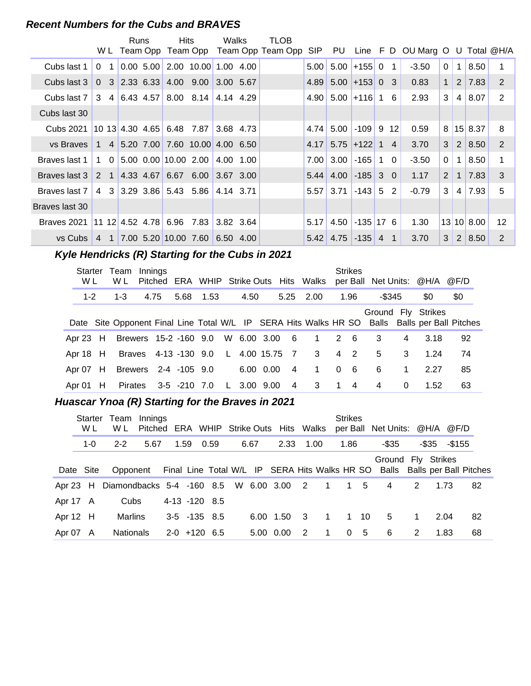# **Recent Numbers for the Cubs and BRAVES**

|                |                                       | <b>Runs</b> | Hits                        |                                                                                | Walks     | TLOB                                    |                   |                        |                  |                |                |                                    |              |              |               |                 |
|----------------|---------------------------------------|-------------|-----------------------------|--------------------------------------------------------------------------------|-----------|-----------------------------------------|-------------------|------------------------|------------------|----------------|----------------|------------------------------------|--------------|--------------|---------------|-----------------|
|                |                                       |             |                             |                                                                                |           | W L Team Opp Team Opp Team Opp Team Opp | SIP               |                        |                  |                |                | PU Line F D OU Marg O U Total @H/A |              |              |               |                 |
| Cubs last 1    | 0 <sub>1</sub>                        | 0.005.00    |                             | $2.00$ 10.00 1.00 4.00                                                         |           |                                         | 5.00              |                        | $5.00$ +155      | $\Omega$       | 1              | $-3.50$                            | $\Omega$     | $\mathbf{1}$ | 8.50          |                 |
| Cubs last 3    |                                       |             |                             | $0$ 3 2.33 6.33 4.00 9.00                                                      | 3.00 5.67 |                                         |                   | $4.89$ 5.00 + 153 0 3  |                  |                |                | 0.83                               | $\mathbf{1}$ |              | 2 7.83        | 2               |
| Cubs last 7    |                                       |             |                             | $3 \quad 4 \quad 6.43 \quad 4.57 \quad 8.00 \quad 8.14 \quad 4.14 \quad 4.29$  |           |                                         |                   | $4.90$ 5.00 + 116 1    |                  |                | 6              | 2.93                               | 3            | 4            | 8.07          | 2               |
| Cubs last 30   |                                       |             |                             |                                                                                |           |                                         |                   |                        |                  |                |                |                                    |              |              |               |                 |
| Cubs 2021      | $10 \t13 \t4.30 \t4.65 \t6.48 \t7.87$ |             |                             |                                                                                | 3.68 4.73 |                                         |                   | $4.74$ 5.00            | $-109$           | 9              | 12             | 0.59                               | 8            |              | $15 \, 8.37$  | 8               |
| vs Braves      |                                       |             |                             | $1 \quad 4 \quad 5.20 \quad 7.00 \quad 7.60 \quad 10.00 \quad 4.00 \quad 6.50$ |           |                                         |                   | $4.17$ 5.75 + 122 1    |                  |                | $\overline{4}$ | 3.70                               | 3            |              | $2 \mid 8.50$ | 2               |
| Braves last 1  | $\begin{matrix} 1 & 0 \end{matrix}$   |             | $ 5.00 \t0.00 10.00 \t2.00$ |                                                                                | 4.00 1.00 |                                         | 7.00 <sub>1</sub> | 3.00                   | $-165$           | $\overline{1}$ | $\Omega$       | $-3.50$                            | $\mathbf{0}$ | $\mathbf{1}$ | 8.50          |                 |
| Braves last 3  | $\begin{bmatrix} 2 & 1 \end{bmatrix}$ |             |                             | $ 4.33 \t4.67 \t6.67 \t6.00 \t3.67 \t3.00$                                     |           |                                         |                   | $5.44$ 4.00 $-185$ 3 0 |                  |                |                | 1.17                               | 2            | $\mathbf 1$  | 7.83          | 3               |
| Braves last 7  |                                       |             |                             | 4 3 3.29 3.86 5.43 5.86 4.14 3.71                                              |           |                                         |                   | $5.57 \,   \, 3.71$    | $-143$           | 5              | 2              | $-0.79$                            | 3            | 4            | 7.93          | 5               |
| Braves last 30 |                                       |             |                             |                                                                                |           |                                         |                   |                        |                  |                |                |                                    |              |              |               |                 |
| Braves 2021    | $11$ 12 4.52 4.78 6.96 7.83 3.82 3.64 |             |                             |                                                                                |           |                                         | 5.17              |                        | $4.50$ -135 17 6 |                |                | 1.30                               |              |              | 13 10 8.00    | 12 <sup>2</sup> |
| vs Cubs        | 4 1                                   |             |                             | $ 7.00 \t5.20   10.00 \t7.60 $                                                 | 6.50 4.00 |                                         |                   | $5.42$ 4.75 -135 4 1   |                  |                |                | 3.70                               | 3            |              | 2 8.50        | 2               |

# **Kyle Hendricks (R) Starting for the Cubs in 2021**

| Starter<br>W L | Team<br>W L    | Innings<br>Pitched                  |              |      |                 |                | ERA WHIP Strike Outs Hits Walks |                | <b>Strikes</b> |        |              | per Ball Net Units: @H/A @F/D |                                                                                               |
|----------------|----------------|-------------------------------------|--------------|------|-----------------|----------------|---------------------------------|----------------|----------------|--------|--------------|-------------------------------|-----------------------------------------------------------------------------------------------|
| $1 - 2$        | $1 - 3$        | 4.75                                | 5.68         | 1.53 | 4.50            | 5.25           | 2.00                            |                | 1.96           | -\$345 |              | \$0                           | \$0                                                                                           |
|                |                |                                     |              |      |                 |                |                                 |                |                |        |              | Ground Flv Strikes            | Date Site Opponent Final Line Total W/L IP SERA Hits Walks HR SO Balls Balls per Ball Pitches |
| Apr $23$ H     |                | Brewers 15-2 -160 9.0 W 6.00 3.00   |              |      |                 | - 6            | 1 2 6                           |                |                | 3      | 4            | 3.18                          | 92                                                                                            |
| Apr 18 H       |                | Braves 4-13 -130 9.0 L 4.00 15.75 7 |              |      |                 |                | $\overline{\mathbf{3}}$         |                | 4 2            | 5      | 3            | 1.24                          | 74                                                                                            |
| Apr $07$ H     |                | Brewers 2-4 -105 9.0                |              |      | 6.00 0.00       | $\overline{4}$ | $\mathbf 1$                     | $\Omega$       | - 6            | 6      | $\mathbf{1}$ | 2.27                          | 85                                                                                            |
| Apr 01 $H$     | <b>Pirates</b> |                                     | 3-5 -210 7.0 |      | L $3.00$ $9.00$ | $\overline{4}$ | $\overline{\mathbf{3}}$         | $\overline{1}$ | $\overline{4}$ | 4      | $\Omega$     | 1.52                          | 63                                                                                            |

# **Huascar Ynoa (R) Starting for the Braves in 2021**

|            | Starter<br>W L | Team<br>W L                             | Innings<br>Pitched ERA WHIP Strike Outs Hits Walks |                    |      |      |           |                            |                          | <b>Strikes</b> |              | per Ball Net Units: @H/A @F/D                                                                    |              |                 |    |  |
|------------|----------------|-----------------------------------------|----------------------------------------------------|--------------------|------|------|-----------|----------------------------|--------------------------|----------------|--------------|--------------------------------------------------------------------------------------------------|--------------|-----------------|----|--|
|            | $1 - 0$        | $2 - 2$                                 | 5.67                                               | 1.59               | 0.59 | 6.67 | 2.33      |                            | 1.00                     | 1.86           |              | -\$35                                                                                            |              | -\$35<br>-\$155 |    |  |
|            | Date Site      | Opponent                                |                                                    |                    |      |      |           |                            |                          |                |              | Ground Fly Strikes<br>Final Line Total W/L IP SERA Hits Walks HR SO Balls Balls per Ball Pitches |              |                 |    |  |
| Apr 23 $H$ |                | Diamondbacks 5-4 -160 8.5 W 6.00 3.00 2 |                                                    |                    |      |      |           |                            |                          | 1 1 5          |              | 4                                                                                                | 2            | 1.73            | 82 |  |
| Apr 17 A   |                | Cubs                                    |                                                    | 4-13 -120 8.5      |      |      |           |                            |                          |                |              |                                                                                                  |              |                 |    |  |
| Apr 12 H   |                | Marlins                                 |                                                    | $3-5$ $-135$ $8.5$ |      |      | 6.00 1.50 | $\overline{\phantom{a}}$ 3 | $\overline{\phantom{1}}$ |                | $1 \quad 10$ | $5^{\circ}$                                                                                      | $\mathbf{1}$ | 2.04            | 82 |  |
| Apr 07 A   |                | <b>Nationals</b>                        |                                                    | $2-0$ +120 6.5     |      |      | 5.00 0.00 | -2                         | $\blacktriangleleft$     | $\Omega$       | 5            | 6                                                                                                | 2            | 1.83            | 68 |  |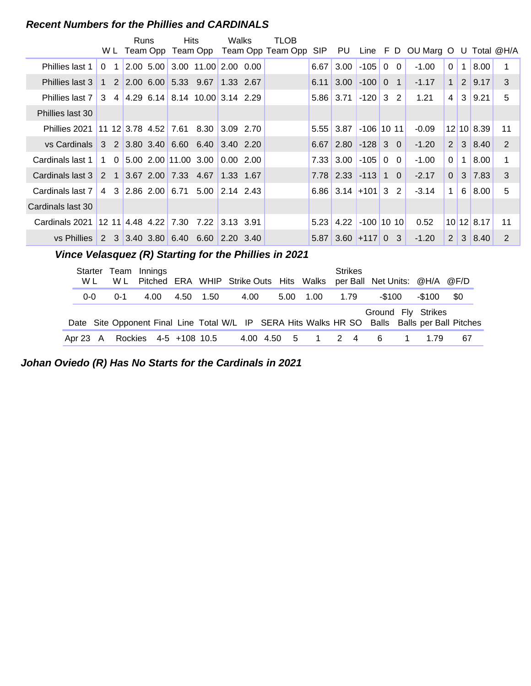# **Recent Numbers for the Phillies and CARDINALS**

|                                      |                                       |             | Runs |          | <b>Hits</b>          |                                                     | Walks       | TLOB.                                                 |            |                        |              |                |                          |                        |                       |                |                    |    |
|--------------------------------------|---------------------------------------|-------------|------|----------|----------------------|-----------------------------------------------------|-------------|-------------------------------------------------------|------------|------------------------|--------------|----------------|--------------------------|------------------------|-----------------------|----------------|--------------------|----|
|                                      |                                       | W L         |      | Team Opp |                      | Team Opp                                            |             | Team Opp Team Opp                                     | <b>SIP</b> | PU                     | Line FD      |                |                          | OU Marg O U Total @H/A |                       |                |                    |    |
| Phillies last 1                      | $\Omega$                              | $\mathbf 1$ |      |          |                      | $2.00$ 5.00 3.00 11.00 2.00 0.00                    |             |                                                       | 6.67       | 3.00                   | $-105$       | $\overline{0}$ | $\Omega$                 | $-1.00$                | $\Omega$              | $\mathbf 1$    | 8.00               | 1  |
| Phillies last 3                      |                                       | 2           |      |          |                      | $\vert 2.00 \vert 6.00 \vert 5.33 \vert 9.67 \vert$ | 1.33 2.67   |                                                       | 6.11       | 3.00                   | $-100$ 0     |                | $\overline{\mathcal{N}}$ | $-1.17$                | $\mathbf{1}$          | 2 <sup>1</sup> | 9.17               | 3  |
| Phillies last 7                      | 3                                     |             |      |          |                      | 4 4.29 6.14 8.14 10.00 3.14 2.29                    |             |                                                       |            | $5.86$ 3.71            | $-120$ 3     |                | 2                        | 1.21                   | 4                     | 3              | 9.21               | 5  |
| Phillies last 30                     |                                       |             |      |          |                      |                                                     |             |                                                       |            |                        |              |                |                          |                        |                       |                |                    |    |
| Phillies 2021                        |                                       |             |      |          | 11 12 3.78 4.52 7.61 | 8.30                                                | 3.09 2.70   |                                                       |            | $5.55$ 3.87 -106 10 11 |              |                |                          | $-0.09$                |                       |                | 12 10 8.39         | 11 |
| vs Cardinals 3 2 3.80 3.40 6.60 6.40 |                                       |             |      |          |                      |                                                     | 3.40 2.20   |                                                       |            | $6.67$ 2.80 -128 3 0   |              |                |                          | $-1.20$                | $\mathbf{2}^{\prime}$ |                | 3 8.40             | 2  |
| Cardinals last 1                     | 1                                     |             |      |          |                      | $0$ 5.00 2.00 11.00 3.00                            | $0.00$ 2.00 |                                                       |            | $7.33 \mid 3.00 \mid$  | $-105$       | $\Omega$       | $\Omega$                 | $-1.00$                | 0                     | $\mathbf{1}$   | 8.00               | 1  |
| Cardinals last 3                     | $\begin{bmatrix} 2 & 1 \end{bmatrix}$ |             |      |          |                      | 3.67, 2.00, 7.33, 4.67                              | 1.33 1.67   |                                                       |            | $7.78$ 2.33 $-113$ 1 0 |              |                |                          | $-2.17$                | $\Omega$              |                | $3 \mid 7.83 \mid$ | 3  |
| Cardinals last 7                     |                                       |             |      |          |                      | 4 3 2.86 2.00 6.71 5.00                             | 2.14 2.43   |                                                       |            | $6.86$ 3.14 + 101 3    |              |                | 2                        | $-3.14$                | $\mathbf{1}$          | 6              | 8.00               | 5  |
| Cardinals last 30                    |                                       |             |      |          |                      |                                                     |             |                                                       |            |                        |              |                |                          |                        |                       |                |                    |    |
| Cardinals 2021                       |                                       |             |      |          |                      | $12$ 11 4.48 4.22 7.30 7.22 3.13 3.91               |             |                                                       | 5.23       | 4.22                   | $-100$ 10 10 |                |                          | 0.52                   |                       |                | 10 12 8.17         | 11 |
| vs Phillies                          |                                       |             |      |          |                      |                                                     |             |                                                       | 5.87       | $3.60$ +117 0          |              |                | $\mathbf{3}$             | $-1.20$                | $\overline{2}$        |                | 3   8.40           | 2  |
|                                      |                                       |             |      |          |                      |                                                     |             | Vince Velasquez (R) Starting for the Phillies in 2021 |            |                        |              |                |                          |                        |                       |                |                    |    |

|         | Starter Team Innings           |      |      |      |      |  |                   |      | <b>Strikes</b> |        |          |                                                                           |                                                                                               |
|---------|--------------------------------|------|------|------|------|--|-------------------|------|----------------|--------|----------|---------------------------------------------------------------------------|-----------------------------------------------------------------------------------------------|
| W L     |                                |      |      |      |      |  |                   |      |                |        |          | W L Pitched ERA WHIP Strike Outs Hits Walks per Ball Net Units: @H/A @F/D |                                                                                               |
| $0 - 0$ | 0-1                            | 4.00 | 4.50 | 1.50 | 4.00 |  | 5.00 1.00         | 1.79 |                | -\$100 |          | -\$100                                                                    | -\$0                                                                                          |
|         |                                |      |      |      |      |  |                   |      |                |        |          | Ground Fly Strikes                                                        |                                                                                               |
|         |                                |      |      |      |      |  |                   |      |                |        |          |                                                                           | Date Site Opponent Final Line Total W/L IP SERA Hits Walks HR SO Balls Balls per Ball Pitches |
|         | Apr 23 A Rockies 4-5 +108 10.5 |      |      |      |      |  | 4.00 4.50 5 1 2 4 |      |                | -6     | $\sim$ 1 | 1 79                                                                      | 67                                                                                            |

**Johan Oviedo (R) Has No Starts for the Cardinals in 2021**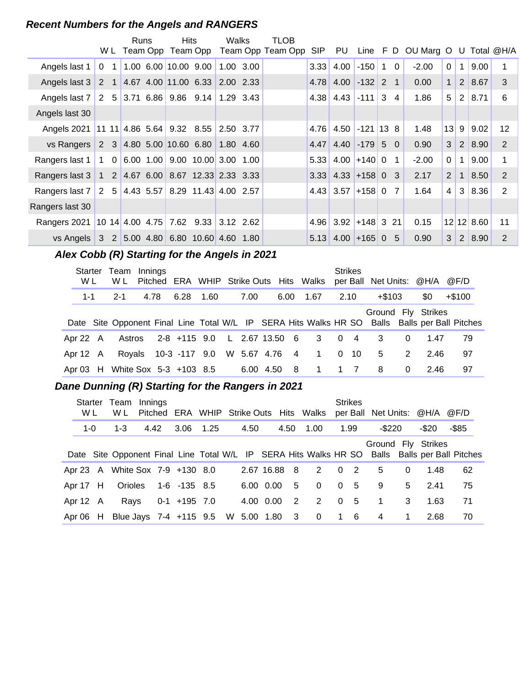# **Recent Numbers for the Angels and RANGERS**

|                                                                   |                         | Runs | <b>Hits</b>            |                                                                   | Walks |           | TLOB<br>W L Team Opp Team Opp Team Opp Team Opp | <b>SIP</b> | PU                               | $Line$ $F$ $D$   |                | OU Marg O U |                |                |              | Total @H/A |
|-------------------------------------------------------------------|-------------------------|------|------------------------|-------------------------------------------------------------------|-------|-----------|-------------------------------------------------|------------|----------------------------------|------------------|----------------|-------------|----------------|----------------|--------------|------------|
|                                                                   |                         |      |                        |                                                                   |       |           |                                                 |            |                                  |                  |                |             |                |                |              |            |
| Angels last 1                                                     | $\mathbf 1$<br>$\Omega$ |      | $1.00$ 6.00 10.00 9.00 |                                                                   |       | 1.00 3.00 |                                                 | 3.33       | 4.00                             | $-150$ 1         | $\Omega$       | $-2.00$     | $\mathbf{0}$   | 1              | 9.00         |            |
| Angels last 3                                                     |                         |      |                        | 2 1 4.67 4.00 11.00 6.33 2.00 2.33                                |       |           |                                                 |            | $4.78$ 4.00 $-132$ 2 1           |                  |                | 0.00        | $\mathbf{1}$   | 2 <sup>2</sup> | 8.67         | 3          |
| Angels last 7                                                     |                         |      |                        | 2 $5 \mid 3.71 \mid 6.86 \mid 9.86 \mid 9.14 \mid 1.29 \mid 3.43$ |       |           |                                                 |            | $4.38$   $4.43$   $-111$   3   4 |                  |                | 1.86        | 5              | $\overline{2}$ | 8.71         | 6          |
| Angels last 30                                                    |                         |      |                        |                                                                   |       |           |                                                 |            |                                  |                  |                |             |                |                |              |            |
| Angels 2021                                                       |                         |      |                        | $11$ 11 4.86 5.64 9.32 8.55 2.50 3.77                             |       |           |                                                 | 4.76       |                                  | $4.50$ -121 13 8 |                | 1.48        | 13             | 9              | 9.02         | 12         |
| vs Rangers                                                        |                         |      |                        | 2 3 4.80 5.00 10.60 6.80 1.80 4.60                                |       |           |                                                 | 4.47       |                                  | $4.40$ -179 5 0  |                | 0.90        | 3              | $2^{\circ}$    | 8.90         | 2          |
| Rangers last 1                                                    | $1 \quad 0$             |      |                        | $6.00$ 1.00 9.00 10.00 3.00 1.00                                  |       |           |                                                 | 5.33       |                                  | $4.00 + 1400$    | $\mathbf 1$    | $-2.00$     | 0              |                | 9.00         |            |
| Rangers last 3   1   2   4.67   6.00   8.67   12.33   2.33   3.33 |                         |      |                        |                                                                   |       |           |                                                 |            | $3.33$ 4.33 + 158 0 3            |                  |                | 2.17        | 2              | 1              | 8.50         | 2          |
| Rangers last 7                                                    |                         |      |                        | 2 5 4.43 5.57 8.29 11.43 4.00 2.57                                |       |           |                                                 |            | $4.43$ 3.57 + 158 0              |                  | $\overline{7}$ | 1.64        | $\overline{4}$ | 3              | 8.36         | 2          |
| Rangers last 30                                                   |                         |      |                        |                                                                   |       |           |                                                 |            |                                  |                  |                |             |                |                |              |            |
| Rangers 2021                                                      |                         |      |                        | $10$ 14 4.00 4.75 7.62 9.33 3.12 2.62                             |       |           |                                                 |            | $4.96$ 3.92 + 148 3 21           |                  |                | 0.15        |                |                | $12$ 12 8.60 | 11         |
| vs Angels                                                         |                         |      |                        | 3 2 5.00 4.80 6.80 10.60 4.60 1.80                                |       |           |                                                 |            | $5.13$ 4.00 + 165 0              |                  | 5              | 0.90        | 3              | 2              | 8.90         | 2          |

# Alex Cobb (R) Starting for the Angels in 2021

| W L           | Starter Team<br>W L             | Innings |                      |  |           |      | Pitched ERA WHIP Strike Outs Hits Walks  | <b>Strikes</b> | per Ball Net Units: @H/A |          |      | @F/D                                                                                          |
|---------------|---------------------------------|---------|----------------------|--|-----------|------|------------------------------------------|----------------|--------------------------|----------|------|-----------------------------------------------------------------------------------------------|
| $1 - 1$       | $2 - 1$                         | 4.78    | 6.28 1.60            |  | 7.00      | 6.00 | 1.67                                     | 2.10           | $+\$103$                 |          | SO.  | $+\$100$                                                                                      |
|               |                                 |         |                      |  |           |      |                                          |                | Ground Fly Strikes       |          |      | Date Site Opponent Final Line Total W/L IP SERA Hits Walks HR SO Balls Balls per Ball Pitches |
| Apr 22 $\,$ A |                                 |         |                      |  |           |      | Astros 2-8 +115 9.0 L 2.67 13.50 6 3 0 4 |                | 3                        | $\Omega$ | 1.47 | 79                                                                                            |
| Apr 12 A      |                                 |         | Royals 10-3 -117 9.0 |  |           |      | W 5.67 4.76 4 1 0 10                     |                | 5                        | 2        | 2.46 | 97                                                                                            |
|               | Apr 03 H White Sox 5-3 +103 8.5 |         |                      |  | 6.00 4.50 | - 8  | $\overline{1}$                           | $1 \quad 7$    | -8                       | $\Omega$ | 2.46 | 97                                                                                            |

# **Dane Dunning (R) Starting for the Rangers in 2021**

| Starter<br>W L | Team<br>W L                        | Innings |                      |  |      |              |                         | Pitched ERA WHIP Strike Outs Hits Walks |            | <b>Strikes</b> |        |             | per Ball Net Units: @H/A @F/D |                                                                                               |
|----------------|------------------------------------|---------|----------------------|--|------|--------------|-------------------------|-----------------------------------------|------------|----------------|--------|-------------|-------------------------------|-----------------------------------------------------------------------------------------------|
| $1 - 0$        | $1 - 3$                            | 4.42    | 3.06 1.25            |  | 4.50 |              |                         | 4.50 1.00                               |            | 1.99           | -\$220 |             | -\$20                         | -\$85                                                                                         |
|                |                                    |         |                      |  |      |              |                         |                                         |            |                |        |             | Ground Fly Strikes            | Date Site Opponent Final Line Total W/L IP SERA Hits Walks HR SO Balls Balls per Ball Pitches |
|                | Apr 23 A White Sox 7-9 +130 8.0    |         |                      |  |      | 2.67 16.88 8 |                         | 2                                       |            | $0\quad 2$     | 5      | $\Omega$    | 1.48                          | 62                                                                                            |
| Apr 17 H       |                                    |         | Orioles 1-6 -135 8.5 |  |      | 6.00 0.00    | -5                      | $\Omega$                                |            | 0 <sub>5</sub> | - 9    | 5           | 2.41                          | 75                                                                                            |
| Apr 12 A       | Rays                               |         | $0-1$ +195 7.0       |  |      | 4.00 0.00    | $\overline{2}$          | 2                                       |            | 0 <sub>5</sub> | 1      | 3           | 1.63                          | 71                                                                                            |
| Apr 06 H       | Blue Jays 7-4 +115 9.5 W 5.00 1.80 |         |                      |  |      |              | $\overline{\mathbf{3}}$ | $\overline{\mathbf{0}}$                 | $1\quad 6$ |                | 4      | $\mathbf 1$ | 2.68                          | 70                                                                                            |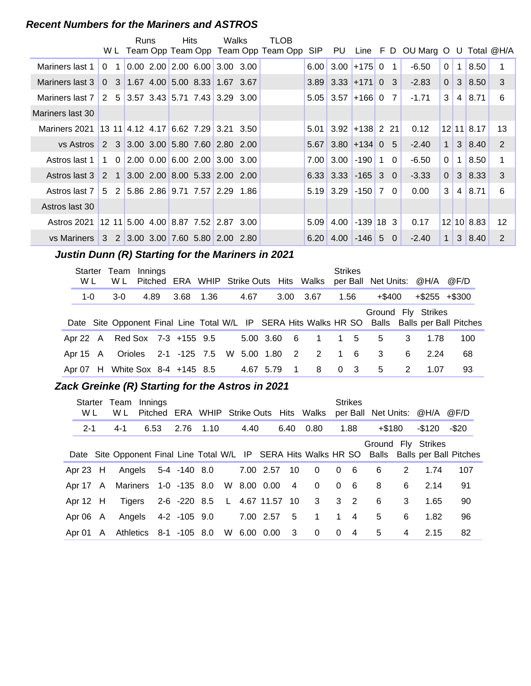# **Recent Numbers for the Mariners and ASTROS**

|                                                   |          |                | Runs | Hits | Walks                                                                         | TLOB                                    |                   |                        |                   |          |                |                                 |                |                |              |                   |
|---------------------------------------------------|----------|----------------|------|------|-------------------------------------------------------------------------------|-----------------------------------------|-------------------|------------------------|-------------------|----------|----------------|---------------------------------|----------------|----------------|--------------|-------------------|
|                                                   |          |                |      |      |                                                                               | W L Team Opp Team Opp Team Opp Team Opp | SIP               | PU                     |                   |          |                | Line F D OU Marg O U Total @H/A |                |                |              |                   |
| Mariners last 1                                   | $\Omega$ | $\overline{1}$ |      |      | $0.00$ 2.00 2.00 6.00 3.00 3.00                                               |                                         | 6.00              | 3.00                   | $ +175 $          | $\Omega$ | $\mathbf{1}$   | $-6.50$                         | $\Omega$       | 1              | 8.50         |                   |
| Mariners last 3                                   |          |                |      |      | $0$ 3 1.67 4.00 5.00 8.33 1.67 3.67                                           |                                         | 3.89              |                        | $3.33$ +171 0 3   |          |                | $-2.83$                         | $\overline{0}$ |                | 3 8.50       | 3                 |
| Mariners last 7                                   |          |                |      |      | 2 5 3.57 3.43 5.71 7.43 3.29 3.00                                             |                                         |                   | $5.05$ 3.57            | $+166$ 0 7        |          |                | $-1.71$                         | 3              | 4              | 8.71         | 6                 |
| Mariners last 30                                  |          |                |      |      |                                                                               |                                         |                   |                        |                   |          |                |                                 |                |                |              |                   |
| Mariners 2021 13 11 4.12 4.17 6.62 7.29 3.21 3.50 |          |                |      |      |                                                                               |                                         |                   | $5.01$ 3.92 + 138 2 21 |                   |          |                | 0.12                            |                |                | $12$ 11 8.17 | 13                |
| vs Astros                                         |          |                |      |      | 2 3 3.00 3.00 5.80 7.60 2.80 2.00                                             |                                         | 5.67              |                        | $3.80 + 1340$ 0 5 |          |                | $-2.40$                         | $\mathbf{1}$   |                | 3 8.40       | 2                 |
| Astros last 1                                     |          |                |      |      | $1 \quad 0 \quad 2.00 \quad 0.00 \quad 6.00 \quad 2.00 \quad 3.00 \quad 3.00$ |                                         | 7.00 <sub>l</sub> | 3.00 <sub>1</sub>      | $-190$            |          | 1 0            | -6.50                           | $\Omega$       | 1              | 8.50         | 1                 |
| Astros last 3                                     | 2 1      |                |      |      | $3.00$ 2.00 8.00 5.33 2.00 2.00                                               |                                         |                   | $6.33$ 3.33 -165 3 0   |                   |          |                | $-3.33$                         | $\Omega$       | 3 <sup>1</sup> | 8.33         | 3                 |
| Astros last 7                                     |          |                |      |      | $5\quad 2 \mid 5.86 \mid 2.86 \mid 9.71 \mid 7.57 \mid 2.29 \mid 1.86$        |                                         |                   | $5.19$ 3.29            | $-150$ 7 0        |          |                | 0.00                            | 3              | 4              | 8.71         | 6                 |
| Astros last 30                                    |          |                |      |      |                                                                               |                                         |                   |                        |                   |          |                |                                 |                |                |              |                   |
| Astros 2021                                       |          |                |      |      | 12 11 5.00 4.00 8.87 7.52 2.87 3.00                                           |                                         | 5.09              | 4.00                   | $-139$ 18 3       |          |                | 0.17                            |                |                | $12$ 10 8.83 | $12 \overline{ }$ |
| vs Mariners                                       |          |                |      |      | 3 2 3.00 3.00 7.60 5.80 2.00 2.80                                             |                                         | 6.20              |                        | $4.00$ -146 5     |          | $\overline{0}$ | $-2.40$                         | $\mathbf{1}$   |                | 3 8.40       | 2                 |

# **Justin Dunn (R) Starting for the Mariners in 2021**

| W L     | Starter Team Innings<br>W L     |      |                     |  |           |                | Pitched ERA WHIP Strike Outs Hits Walks | <b>Strikes</b> |                | per Ball Net Units: @H/A |   |                     | @F/D                                                                                          |
|---------|---------------------------------|------|---------------------|--|-----------|----------------|-----------------------------------------|----------------|----------------|--------------------------|---|---------------------|-----------------------------------------------------------------------------------------------|
| $1 - 0$ | $3-0$                           | 4.89 | 3.68 1.36           |  | 4.67      |                | 3.00 3.67                               | 1.56           |                | +\$400                   |   | $+$ \$255 $+$ \$300 |                                                                                               |
|         |                                 |      |                     |  |           |                |                                         |                |                | Ground Fly Strikes       |   |                     | Date Site Opponent Final Line Total W/L IP SERA Hits Walks HR SO Balls Balls per Ball Pitches |
|         | Apr 22 A Red Sox 7-3 +155 9.5   |      |                     |  |           |                | 5.00 3.60 6 1 1 5                       |                |                | 5                        | 3 | 1.78                | 100                                                                                           |
|         | Apr 15 A Orioles                |      | 2-1 -125 7.5 W 5.00 |  |           |                | 1.80 2 2 1 6                            |                |                | 3                        | 6 | 2.24                | 68                                                                                            |
|         | Apr 07 H White Sox 8-4 +145 8.5 |      |                     |  | 4.67 5.79 | $\overline{1}$ | 8                                       |                | 0 <sup>3</sup> | 5                        | 2 | 1.07                | 93                                                                                            |

#### **Zack Greinke (R) Starting for the Astros in 2021**

| <b>Starter</b><br>W L | Team Innings<br>W L    |      |                     |      |              |      |               |     | Pitched ERA WHIP Strike Outs Hits Walks |                | <b>Strikes</b><br>per Ball |           |   | Net Units: @H/A    | @F/D                                                                                          |
|-----------------------|------------------------|------|---------------------|------|--------------|------|---------------|-----|-----------------------------------------|----------------|----------------------------|-----------|---|--------------------|-----------------------------------------------------------------------------------------------|
| $2 - 1$               | 4-1                    | 6.53 | 2.76                | 1.10 |              | 4.40 |               |     | 6.40 0.80                               |                | 1.88                       | $+$ \$180 |   | -\$120             | -\$20                                                                                         |
|                       |                        |      |                     |      |              |      |               |     |                                         |                |                            |           |   | Ground Fly Strikes | Date Site Opponent Final Line Total W/L IP SERA Hits Walks HR SO Balls Balls per Ball Pitches |
| Apr $23$ H            |                        |      | Angels 5-4 -140 8.0 |      |              |      | 7.00 2.57     | 10  | $\overline{\mathbf{0}}$                 | $\overline{0}$ | - 6                        | - 6       | 2 | 1.74               | 107                                                                                           |
| Apr 17 A              | Mariners 1-0 -135 8.0  |      |                     |      |              |      | W 8.00 0.00   | 4   | $\overline{0}$                          | $\Omega$       | - 6                        | 8         | 6 | 2.14               | 91                                                                                            |
| Apr $12$ H            | Tigers                 |      | 2-6 -220 8.5        |      | $\mathsf{L}$ |      | 4.67 11.57 10 |     | $3 \quad 3 \quad 2$                     |                |                            | 6         | 3 | 1.65               | 90                                                                                            |
| Apr 06 A              | Angels                 |      | 4-2 -105 9.0        |      |              |      | 7.00 2.57     | - 5 | $\mathbf{1}$                            | $\overline{1}$ | $\overline{4}$             | 5         | 6 | 1.82               | 96                                                                                            |
| Apr 01 A              | Athletics 8-1 -105 8.0 |      |                     |      |              |      | W 6.00 0.00   | -3  | $\mathbf{0}$                            | $\overline{0}$ | $\overline{4}$             | 5         | 4 | 2.15               | 82                                                                                            |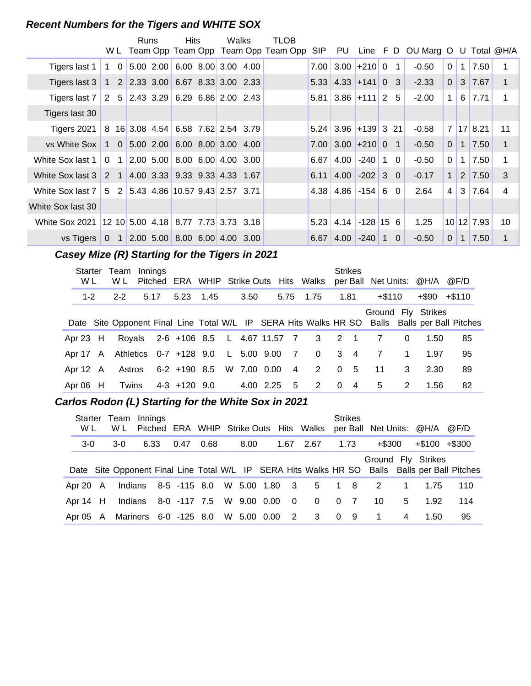# **Recent Numbers for the Tigers and WHITE SOX**

|                                                                     |            | Runs | Hits                                                                          | Walks | TLOB                                    |      |                        |                  |                |                                 |                |                |                    |              |
|---------------------------------------------------------------------|------------|------|-------------------------------------------------------------------------------|-------|-----------------------------------------|------|------------------------|------------------|----------------|---------------------------------|----------------|----------------|--------------------|--------------|
|                                                                     |            |      |                                                                               |       | W L Team Opp Team Opp Team Opp Team Opp | SIP  | PU                     |                  |                | Line F D OU Marg O U Total @H/A |                |                |                    |              |
| Tigers last 1                                                       | $1\quad 0$ |      | $5.00$ 2.00 6.00 8.00 3.00 4.00                                               |       |                                         | 7.00 |                        | $3.00$ +210 0    | $\mathbf{1}$   | $-0.50$                         | $\mathbf{0}$   | 1              | 7.50               |              |
| Tigers last 3                                                       |            |      | $1 \quad 2 \quad 2.33 \quad 3.00 \quad 6.67 \quad 8.33 \quad 3.00 \quad 2.33$ |       |                                         |      | $5.33$ 4.33 + 141 0 3  |                  |                | $-2.33$                         | $\mathbf{0}$   | 3              | 7.67               | $\mathbf{1}$ |
| Tigers last 7                                                       |            |      | $2 \quad 5 \quad 2.43 \quad 3.29 \quad 6.29 \quad 6.86 \quad 2.00 \quad 2.43$ |       |                                         |      | $5.81$ 3.86 + 111 2 5  |                  |                | $-2.00$                         | $\mathbf{1}$   | $6 \mid$       | 7.71               | 1            |
| Tigers last 30                                                      |            |      |                                                                               |       |                                         |      |                        |                  |                |                                 |                |                |                    |              |
| Tigers 2021                                                         |            |      | 8 16 3.08 4.54 6.58 7.62 2.54 3.79                                            |       |                                         |      | $5.24$ 3.96 + 139 3 21 |                  |                | $-0.58$                         |                |                | 7 17 8.21          | 11           |
| vs White Sox                                                        |            |      | $1 \quad 0 \quad 5.00 \quad 2.00 \quad 6.00 \quad 8.00 \quad 3.00 \quad 4.00$ |       |                                         |      | $7.00$ 3.00 + 210 0    |                  | $\overline{1}$ | $-0.50$                         | $\Omega$       | $\overline{1}$ | 7.50               | $\mathbf 1$  |
| White Sox last 1                                                    |            |      | $0$ 1 2.00 5.00 8.00 6.00 4.00 3.00                                           |       |                                         | 6.67 | 4.00                   | $-240$ 1         | $\Omega$       | $-0.50$                         | $\mathbf{0}$   | 1              | 7.50               | 1            |
| White Sox last 3                                                    |            |      | 2 1 4.00 3.33 9.33 9.33 4.33 1.67                                             |       |                                         | 6.11 |                        | $4.00$ -202 3    | $\overline{0}$ | $-0.17$                         | $\mathbf{1}$   |                | $2 \mid 7.50 \mid$ | 3            |
| White Sox last 7   5   2   5.43   4.86   10.57   9.43   2.57   3.71 |            |      |                                                                               |       |                                         |      | $4.38$ 4.86 -154 6     |                  | $\Omega$       | 2.64                            | $\overline{4}$ |                | 3 7.64             | 4            |
| White Sox last 30                                                   |            |      |                                                                               |       |                                         |      |                        |                  |                |                                 |                |                |                    |              |
| White Sox 2021 12 10 5.00 4.18 8.77 7.73 3.73 3.18                  |            |      |                                                                               |       |                                         | 5.23 |                        | $4.14$ -128 15 6 |                | 1.25                            |                |                | 10 12 7.93         | 10           |
| vs Tigers 0 1 2.00 5.00 8.00 6.00 4.00 3.00                         |            |      |                                                                               |       |                                         |      | $6.67$ 4.00 -240 1     |                  | $\overline{0}$ | $-0.50$                         | $\Omega$       | $\mathbf{1}$   | 7.50               |              |

# Casey Mize (R) Starting for the Tigers in 2021

| Starter<br>W L | Team<br>W L | Innings |      |                                    |      |             |                | Pitched ERA WHIP Strike Outs Hits Walks  |             | <b>Strikes</b> | per Ball Net Units: @H/A |              |       | @F/D                                                                                          |
|----------------|-------------|---------|------|------------------------------------|------|-------------|----------------|------------------------------------------|-------------|----------------|--------------------------|--------------|-------|-----------------------------------------------------------------------------------------------|
| $1 - 2$        | $2 - 2$     |         | 5.17 | 5.23                               | 1.45 | 3.50        |                | 5.75 1.75                                |             | 1.81           | $+\$110$                 |              | +\$90 | +\$110                                                                                        |
|                |             |         |      |                                    |      |             |                |                                          |             |                | Ground Fly Strikes       |              |       | Date Site Opponent Final Line Total W/L IP SERA Hits Walks HR SO Balls Balls per Ball Pitches |
| Apr $23$ H     |             |         |      |                                    |      |             |                | Royals 2-6 +106 8.5 L 4.67 11.57 7 3 2 1 |             |                | 7                        | 0            | 1.50  | 85                                                                                            |
| Apr 17 A       |             |         |      | Athletics 0-7 +128 9.0 L 5.00 9.00 |      |             | $\overline{7}$ | $\Omega$                                 | $3 \quad 4$ |                | 7                        | $\mathbf{1}$ | 1.97  | 95                                                                                            |
| Apr 12 A       | Astros      |         |      | 6-2 +190 8.5                       |      | W 7.00 0.00 | $\overline{4}$ | $2 \t 0 \t 5$                            |             |                | 11                       | 3            | 2.30  | 89                                                                                            |
| Apr 06 H       | Twins       |         |      | $4-3$ +120 $9.0$                   |      | 4.00 2.25   | 5              | 2                                        | $\Omega$    | $\overline{4}$ | 5                        | 2            | 1.56  | 82                                                                                            |

# Carlos Rodon (L) Starting for the White Sox in 2021

| Starter<br>W L | Team<br>W L | Innings |                       |                          |             |                | Pitched ERA WHIP Strike Outs Hits Walks | <b>Strikes</b> | per Ball Net Units: @H/A |                |                    | @F/D                                                                                          |
|----------------|-------------|---------|-----------------------|--------------------------|-------------|----------------|-----------------------------------------|----------------|--------------------------|----------------|--------------------|-----------------------------------------------------------------------------------------------|
| $3-0$          | $3-0$       | 6.33    | 0.47                  | 0.68                     | 8.00        | 1.67           | 2.67                                    | 1.73           | $+$ \$300                |                | $+\$100 + \$300$   |                                                                                               |
|                |             |         |                       |                          |             |                |                                         |                |                          |                | Ground Fly Strikes |                                                                                               |
|                |             |         |                       |                          |             |                |                                         |                |                          |                |                    | Date Site Opponent Final Line Total W/L IP SERA Hits Walks HR SO Balls Balls per Ball Pitches |
| Apr 20 A       | Indians     |         | 8-5 -115 8.0          |                          | W 5.00 1.80 |                | 3 5 1 8                                 |                | -2                       | $\overline{1}$ | 1.75               | 110                                                                                           |
| Apr $14$ H     | Indians     |         |                       | 8-0 -117 7.5 W 9.00 0.00 |             | - 0            | $\overline{0}$                          | 0 <sub>7</sub> | 10                       | 5              | 1.92               | 114                                                                                           |
| Apr 05 A       |             |         | Mariners 6-0 -125 8.0 |                          | W 5.00 0.00 | $\overline{2}$ | $\overline{\mathbf{3}}$                 | 09             | 1                        | 4              | 1.50               | 95                                                                                            |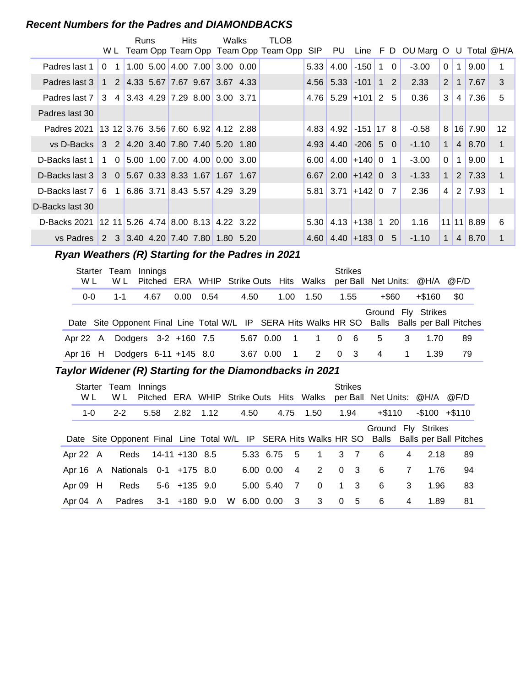#### **Recent Numbers for the Padres and DIAMONDBACKS**

|                                                  |          | <b>Runs</b> | <b>Hits</b>                         | Walks                                                                         | TLOB.<br>WL Team Opp Team Opp Team Opp Team Opp SIP PU Line F D OU Marg O U Total @H/A |      |                                          |                 |           |         |                |                |                    |                   |
|--------------------------------------------------|----------|-------------|-------------------------------------|-------------------------------------------------------------------------------|----------------------------------------------------------------------------------------|------|------------------------------------------|-----------------|-----------|---------|----------------|----------------|--------------------|-------------------|
| Padres last 1                                    | $\Omega$ |             |                                     | 1 1.00 5.00 4.00 7.00 3.00 0.00                                               |                                                                                        | 5.33 | 4.00                                     | $-150$          | 1 0       | $-3.00$ | $\Omega$       | 1 <sup>1</sup> | 9.00               | 1                 |
| Padres last 3                                    |          |             |                                     | 1 2 4.33 5.67 7.67 9.67 3.67 4.33                                             |                                                                                        |      | $4.56$ 5.33 -101                         |                 | $1\quad2$ | 2.33    | 2 <sup>1</sup> | 1 <sup>1</sup> | 7.67               | 3                 |
| Padres last 7                                    |          |             |                                     | $3 \quad 4 \quad 3.43 \quad 4.29 \quad 7.29 \quad 8.00 \quad 3.00 \quad 3.71$ |                                                                                        |      | $4.76$ 5.29 + 101 2 5                    |                 |           | 0.36    | 3              | 4 <sup>1</sup> | 7.36               | 5                 |
| Padres last 30                                   |          |             |                                     |                                                                               |                                                                                        |      |                                          |                 |           |         |                |                |                    |                   |
| Padres 2021 13 12 3.76 3.56 7.60 6.92 4.12 2.88  |          |             |                                     |                                                                               |                                                                                        |      | $4.83$   $4.92$   $-151$   17 8          |                 |           | $-0.58$ | 8              |                | $16$ 7.90          | $12 \overline{ }$ |
| vs D-Backs 3 2 4.20 3.40 7.80 7.40 5.20 1.80     |          |             |                                     |                                                                               |                                                                                        |      | $4.93$ 4.40 -206 5 0                     |                 |           | $-1.10$ | 1              |                | 4 8.70             | $\mathbf{1}$      |
| D-Backs last 1                                   |          |             | $1 \t0 \t5.00 \t1.00 \t7.00 \t4.00$ | 0.00300                                                                       |                                                                                        | 6.00 |                                          | $4.00$ +140 0 1 |           | $-3.00$ | $\mathbf{0}$   | 1 <sup>1</sup> | 9.00               | 1                 |
| D-Backs last 3 3 0 5.67 0.33 8.33 1.67 1.67 1.67 |          |             |                                     |                                                                               |                                                                                        |      | $6.67$ 2.00 + 142 0 3                    |                 |           | $-1.33$ | 1              |                | $2 \mid 7.33 \mid$ | $\mathbf{1}$      |
| D-Backs last 7 6 1 6.86 3.71 8.43 5.57           |          |             |                                     | 4.29 3.29                                                                     |                                                                                        |      | $5.81 \mid 3.71 \mid +142 \mid 0 \mid 7$ |                 |           | 2.36    | 4              |                | $2 \mid 7.93$      | 1                 |
| D-Backs last 30                                  |          |             |                                     |                                                                               |                                                                                        |      |                                          |                 |           |         |                |                |                    |                   |
| D-Backs 2021                                     |          |             |                                     | $12$ 11 5.26 4.74 8.00 8.13 4.22 3.22                                         |                                                                                        |      | $5.30$ 4.13 + 138 1 20                   |                 |           | 1.16    |                |                | 11 11 8.89         | 6                 |
| vs Padres                                        |          |             |                                     | 2 3 3.40 4.20 7.40 7.80 1.80 5.20                                             |                                                                                        |      | $4.60$ 4.40 + 183 0 5                    |                 |           | $-1.10$ | $\mathbf{1}$   |                | $4 \mid 8.70$      | 1                 |

# **..........Ryan Weathers (R) Starting for the Padres in 2021**

| <b>Starter</b><br>W L | Team Innings<br>W L |      |                          |      |      |           |                         | Pitched ERA WHIP Strike Outs Hits Walks                          |          | <b>Strikes</b> | per Ball Net Units: @H/A |    |                    | @F/D                         |
|-----------------------|---------------------|------|--------------------------|------|------|-----------|-------------------------|------------------------------------------------------------------|----------|----------------|--------------------------|----|--------------------|------------------------------|
| $0-0$                 | $1 - 1$             | 4.67 | 0.00                     | 0.54 | 4.50 |           | 1.00                    | 1.50                                                             |          | 1.55           | +\$60                    |    | +\$160             | \$0                          |
|                       |                     |      |                          |      |      |           |                         | Date Site Opponent Final Line Total W/L IP SERA Hits Walks HR SO |          |                |                          |    | Ground Fly Strikes | Balls Balls per Ball Pitches |
| Apr 22 $A$            |                     |      | Dodgers 3-2 +160 7.5     |      |      | 5.67 0.00 | $\overline{\mathbf{1}}$ | $\overline{1}$                                                   | $\Omega$ | - 6            | 5                        | 3  | 1.70               | 89                           |
| Apr 16 H              |                     |      | Dodgers $6-11 + 145$ 8.0 |      |      | 3.67 0.00 |                         | 2                                                                | $\Omega$ | $\mathbf{3}$   | $\overline{4}$           | 1. | 1.39               | 79                           |

#### **Taylor Widener (R) Starting for the Diamondbacks in 2021**

| Starter<br>W L | Team<br>W L                     | Innings |                     |  |      |             |                         | Pitched ERA WHIP Strike Outs Hits Walks | <b>Strikes</b> |                  | per Ball Net Units: @H/A |                |                | @F/D                                                                                          |
|----------------|---------------------------------|---------|---------------------|--|------|-------------|-------------------------|-----------------------------------------|----------------|------------------|--------------------------|----------------|----------------|-----------------------------------------------------------------------------------------------|
| $1 - 0$        | $2 - 2$                         | 5.58    | 2.82 1.12           |  | 4.50 |             |                         | 4.75 1.50                               | 1.94           |                  | $+$ \$110                |                | $-$100 + $110$ |                                                                                               |
|                |                                 |         |                     |  |      |             |                         |                                         |                |                  | Ground Fly Strikes       |                |                | Date Site Opponent Final Line Total W/L IP SERA Hits Walks HR SO Balls Balls per Ball Pitches |
| Apr $22$ A     |                                 |         | Reds 14-11 +130 8.5 |  |      | 5.33 6.75   | 5                       | $\overline{1}$                          |                | $3 \overline{7}$ | -6                       | 4              | 2.18           | 89                                                                                            |
|                | Apr 16 A Nationals 0-1 +175 8.0 |         |                     |  |      | 6.00 0.00   | 4                       | 2                                       | 0 <sup>3</sup> |                  | -6                       | $\overline{7}$ | 1.76           | 94                                                                                            |
| Apr 09 H       | Reds                            |         | $5-6$ +135 9.0      |  |      | 5.00 5.40   | $\overline{7}$          | $\Omega$                                |                | $1 \quad 3$      | 6                        | 3              | 1.96           | 83                                                                                            |
| Apr 04 A       | Padres                          |         | $3-1$ $+180$ 9.0    |  |      | W 6.00 0.00 | $\overline{\mathbf{3}}$ | 3                                       |                | 0 <sub>5</sub>   | -6                       | 4              | 1.89           | 81                                                                                            |